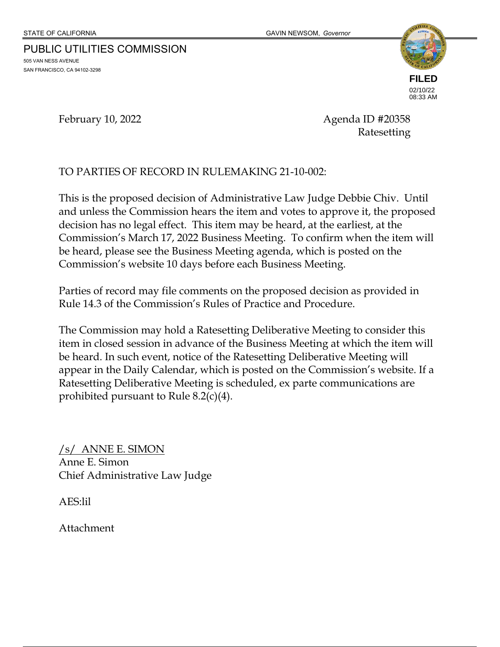# PUBLIC UTILITIES COMMISSION

505 VAN NESS AVENUE SAN FRANCISCO, CA 94102-3298



February 10, 2022 **Agenda ID #20358** Ratesetting

## TO PARTIES OF RECORD IN RULEMAKING 21-10-002:

This is the proposed decision of Administrative Law Judge Debbie Chiv. Until and unless the Commission hears the item and votes to approve it, the proposed decision has no legal effect. This item may be heard, at the earliest, at the Commission's March 17, 2022 Business Meeting. To confirm when the item will be heard, please see the Business Meeting agenda, which is posted on the Commission's website 10 days before each Business Meeting.

Parties of record may file comments on the proposed decision as provided in Rule 14.3 of the Commission's Rules of Practice and Procedure.

The Commission may hold a Ratesetting Deliberative Meeting to consider this item in closed session in advance of the Business Meeting at which the item will be heard. In such event, notice of the Ratesetting Deliberative Meeting will appear in the Daily Calendar, which is posted on the Commission's website. If a Ratesetting Deliberative Meeting is scheduled, ex parte communications are prohibited pursuant to Rule 8.2(c)(4).

/s/ ANNE E. SIMON Anne E. Simon Chief Administrative Law Judge

AES:lil

Attachment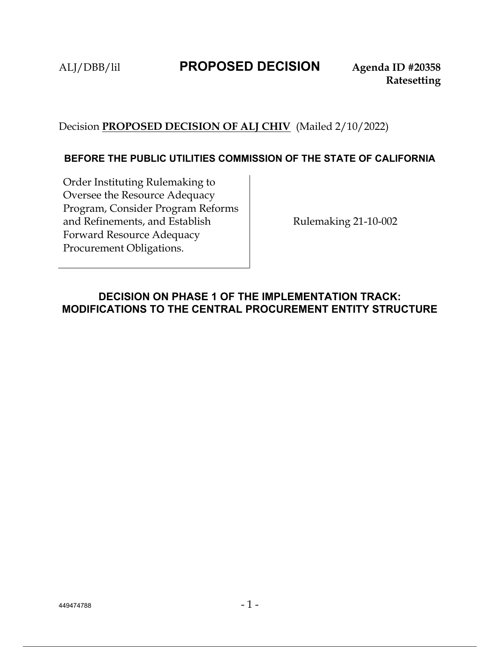# ALJ/DBB/lil **PROPOSED DECISION Agenda ID #20358**

## Decision **PROPOSED DECISION OF ALJ CHIV** (Mailed 2/10/2022)

### **BEFORE THE PUBLIC UTILITIES COMMISSION OF THE STATE OF CALIFORNIA**

Order Instituting Rulemaking to Oversee the Resource Adequacy Program, Consider Program Reforms and Refinements, and Establish Forward Resource Adequacy Procurement Obligations.

Rulemaking 21-10-002

## **DECISION ON PHASE 1 OF THE IMPLEMENTATION TRACK: MODIFICATIONS TO THE CENTRAL PROCUREMENT ENTITY STRUCTURE**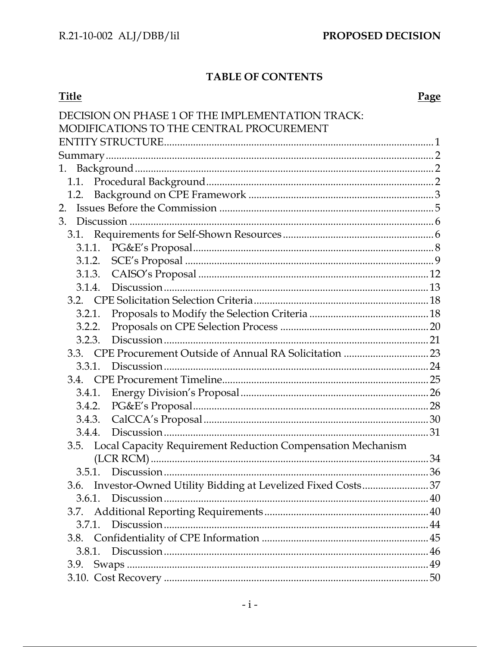## **TABLE OF CONTENTS**

| <b>Title</b>                                                     | <b>Page</b> |
|------------------------------------------------------------------|-------------|
| DECISION ON PHASE 1 OF THE IMPLEMENTATION TRACK:                 |             |
| MODIFICATIONS TO THE CENTRAL PROCUREMENT                         |             |
|                                                                  |             |
|                                                                  |             |
|                                                                  |             |
|                                                                  |             |
| 1.2.                                                             |             |
| 2.                                                               |             |
| 3.                                                               |             |
|                                                                  |             |
|                                                                  |             |
|                                                                  |             |
|                                                                  |             |
| 3.1.4.                                                           |             |
|                                                                  |             |
| 3.2.1.                                                           |             |
| 3.2.2.                                                           |             |
| 3.2.3.                                                           |             |
|                                                                  |             |
| 3.3.1.                                                           |             |
| 3.4.                                                             |             |
| 3.4.1.                                                           |             |
| 3.4.2.                                                           |             |
| 3.4.3.                                                           |             |
|                                                                  |             |
| 3.5. Local Capacity Requirement Reduction Compensation Mechanism |             |
|                                                                  |             |
| 3.5.1.                                                           |             |
| 3.6. Investor-Owned Utility Bidding at Levelized Fixed Costs37   |             |
| 3.6.1.                                                           |             |
|                                                                  |             |
| 3.7.1.                                                           |             |
|                                                                  |             |
|                                                                  |             |
|                                                                  |             |
|                                                                  |             |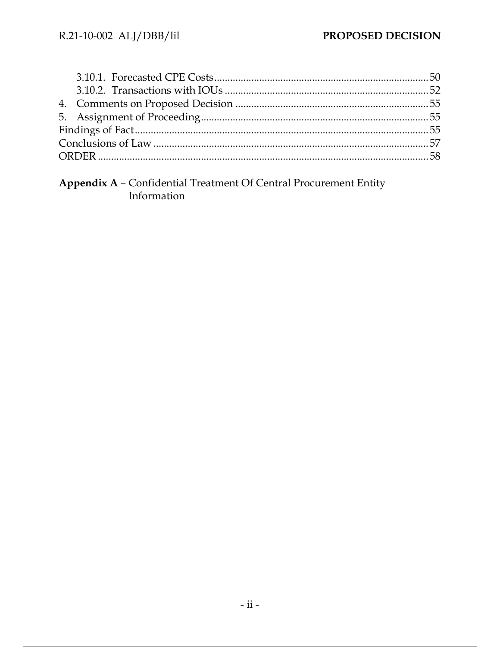**Appendix A - Confidential Treatment Of Central Procurement Entity<br>Information**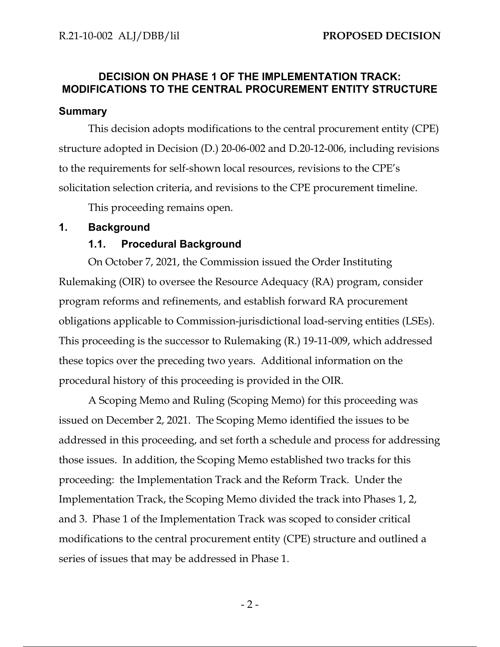## **DECISION ON PHASE 1 OF THE IMPLEMENTATION TRACK: MODIFICATIONS TO THE CENTRAL PROCUREMENT ENTITY STRUCTURE**

#### **Summary**

This decision adopts modifications to the central procurement entity (CPE) structure adopted in Decision (D.) 20-06-002 and D.20-12-006, including revisions to the requirements for self-shown local resources, revisions to the CPE's solicitation selection criteria, and revisions to the CPE procurement timeline.

This proceeding remains open.

#### **1. Background**

#### **1.1. Procedural Background**

On October 7, 2021, the Commission issued the Order Instituting Rulemaking (OIR) to oversee the Resource Adequacy (RA) program, consider program reforms and refinements, and establish forward RA procurement obligations applicable to Commission-jurisdictional load-serving entities (LSEs). This proceeding is the successor to Rulemaking (R.) 19-11-009, which addressed these topics over the preceding two years. Additional information on the procedural history of this proceeding is provided in the OIR.

A Scoping Memo and Ruling (Scoping Memo) for this proceeding was issued on December 2, 2021. The Scoping Memo identified the issues to be addressed in this proceeding, and set forth a schedule and process for addressing those issues. In addition, the Scoping Memo established two tracks for this proceeding: the Implementation Track and the Reform Track. Under the Implementation Track, the Scoping Memo divided the track into Phases 1, 2, and 3. Phase 1 of the Implementation Track was scoped to consider critical modifications to the central procurement entity (CPE) structure and outlined a series of issues that may be addressed in Phase 1.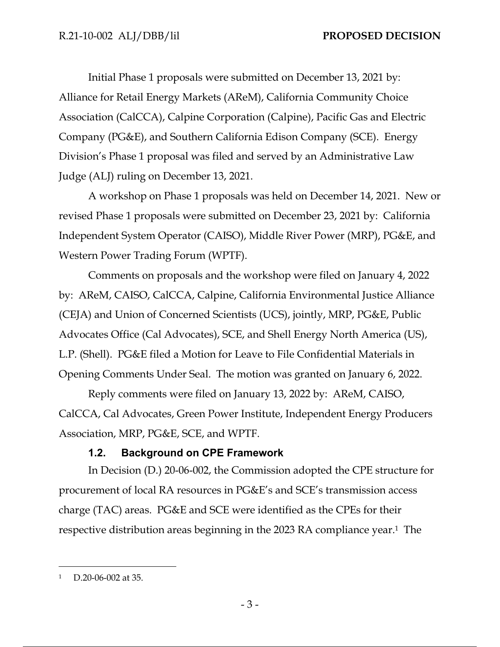Initial Phase 1 proposals were submitted on December 13, 2021 by: Alliance for Retail Energy Markets (AReM), California Community Choice Association (CalCCA), Calpine Corporation (Calpine), Pacific Gas and Electric Company (PG&E), and Southern California Edison Company (SCE). Energy Division's Phase 1 proposal was filed and served by an Administrative Law Judge (ALJ) ruling on December 13, 2021.

A workshop on Phase 1 proposals was held on December 14, 2021. New or revised Phase 1 proposals were submitted on December 23, 2021 by: California Independent System Operator (CAISO), Middle River Power (MRP), PG&E, and Western Power Trading Forum (WPTF).

Comments on proposals and the workshop were filed on January 4, 2022 by: AReM, CAISO, CalCCA, Calpine, California Environmental Justice Alliance (CEJA) and Union of Concerned Scientists (UCS), jointly, MRP, PG&E, Public Advocates Office (Cal Advocates), SCE, and Shell Energy North America (US), L.P. (Shell). PG&E filed a Motion for Leave to File Confidential Materials in Opening Comments Under Seal. The motion was granted on January 6, 2022.

Reply comments were filed on January 13, 2022 by: AReM, CAISO, CalCCA, Cal Advocates, Green Power Institute, Independent Energy Producers Association, MRP, PG&E, SCE, and WPTF.

## **1.2. Background on CPE Framework**

In Decision (D.) 20-06-002, the Commission adopted the CPE structure for procurement of local RA resources in PG&E's and SCE's transmission access charge (TAC) areas. PG&E and SCE were identified as the CPEs for their respective distribution areas beginning in the 2023 RA compliance year.1 The

<sup>1</sup> D.20-06-002 at 35.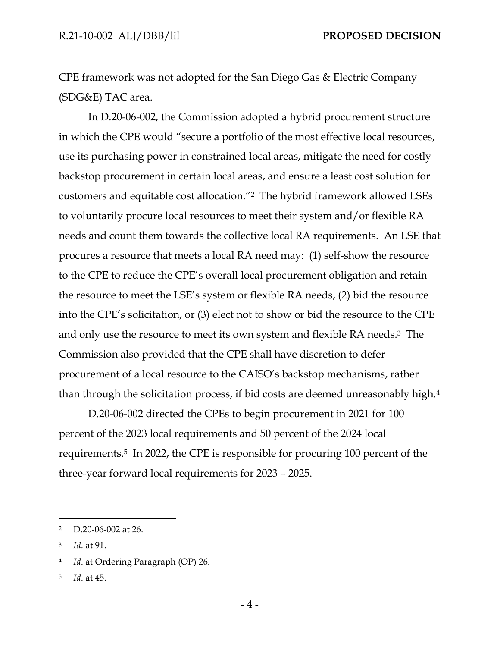CPE framework was not adopted for the San Diego Gas & Electric Company (SDG&E) TAC area.

In D.20-06-002, the Commission adopted a hybrid procurement structure in which the CPE would "secure a portfolio of the most effective local resources, use its purchasing power in constrained local areas, mitigate the need for costly backstop procurement in certain local areas, and ensure a least cost solution for customers and equitable cost allocation."2 The hybrid framework allowed LSEs to voluntarily procure local resources to meet their system and/or flexible RA needs and count them towards the collective local RA requirements. An LSE that procures a resource that meets a local RA need may: (1) self-show the resource to the CPE to reduce the CPE's overall local procurement obligation and retain the resource to meet the LSE's system or flexible RA needs, (2) bid the resource into the CPE's solicitation, or (3) elect not to show or bid the resource to the CPE and only use the resource to meet its own system and flexible RA needs.3 The Commission also provided that the CPE shall have discretion to defer procurement of a local resource to the CAISO's backstop mechanisms, rather than through the solicitation process, if bid costs are deemed unreasonably high.4

D.20-06-002 directed the CPEs to begin procurement in 2021 for 100 percent of the 2023 local requirements and 50 percent of the 2024 local requirements.5 In 2022, the CPE is responsible for procuring 100 percent of the three-year forward local requirements for 2023 – 2025.

5 *Id*. at 45.

<sup>2</sup> D.20-06-002 at 26.

<sup>3</sup> *Id*. at 91.

<sup>4</sup> *Id*. at Ordering Paragraph (OP) 26.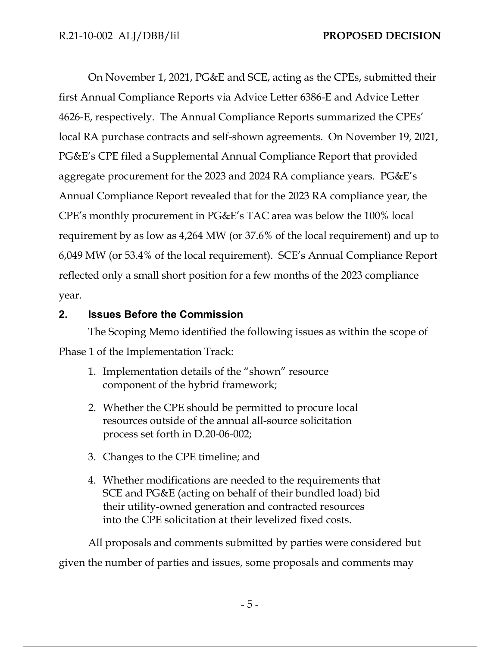On November 1, 2021, PG&E and SCE, acting as the CPEs, submitted their first Annual Compliance Reports via Advice Letter 6386-E and Advice Letter 4626-E, respectively. The Annual Compliance Reports summarized the CPEs' local RA purchase contracts and self-shown agreements. On November 19, 2021, PG&E's CPE filed a Supplemental Annual Compliance Report that provided aggregate procurement for the 2023 and 2024 RA compliance years. PG&E's Annual Compliance Report revealed that for the 2023 RA compliance year, the CPE's monthly procurement in PG&E's TAC area was below the 100% local requirement by as low as 4,264 MW (or 37.6% of the local requirement) and up to 6,049 MW (or 53.4% of the local requirement). SCE's Annual Compliance Report reflected only a small short position for a few months of the 2023 compliance year.

## **2. Issues Before the Commission**

The Scoping Memo identified the following issues as within the scope of Phase 1 of the Implementation Track:

- 1. Implementation details of the "shown" resource component of the hybrid framework;
- 2. Whether the CPE should be permitted to procure local resources outside of the annual all-source solicitation process set forth in D.20-06-002;
- 3. Changes to the CPE timeline; and
- 4. Whether modifications are needed to the requirements that SCE and PG&E (acting on behalf of their bundled load) bid their utility-owned generation and contracted resources into the CPE solicitation at their levelized fixed costs.

All proposals and comments submitted by parties were considered but given the number of parties and issues, some proposals and comments may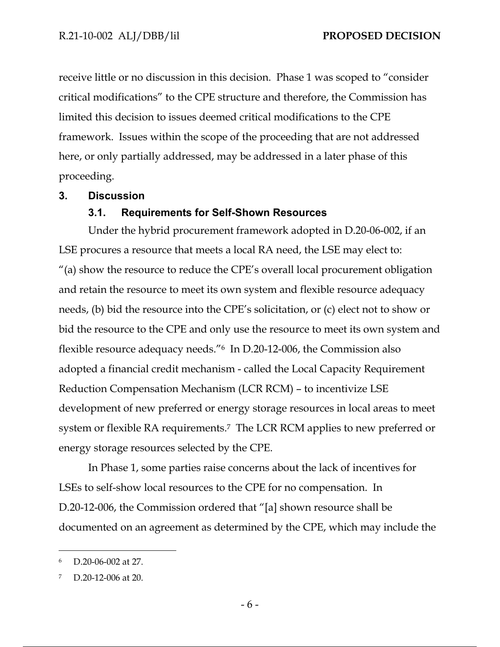receive little or no discussion in this decision. Phase 1 was scoped to "consider critical modifications" to the CPE structure and therefore, the Commission has limited this decision to issues deemed critical modifications to the CPE framework. Issues within the scope of the proceeding that are not addressed here, or only partially addressed, may be addressed in a later phase of this proceeding.

#### **3. Discussion**

#### **3.1. Requirements for Self-Shown Resources**

Under the hybrid procurement framework adopted in D.20-06-002, if an LSE procures a resource that meets a local RA need, the LSE may elect to: "(a) show the resource to reduce the CPE's overall local procurement obligation and retain the resource to meet its own system and flexible resource adequacy needs, (b) bid the resource into the CPE's solicitation, or (c) elect not to show or bid the resource to the CPE and only use the resource to meet its own system and flexible resource adequacy needs."6 In D.20-12-006, the Commission also adopted a financial credit mechanism - called the Local Capacity Requirement Reduction Compensation Mechanism (LCR RCM) – to incentivize LSE development of new preferred or energy storage resources in local areas to meet system or flexible RA requirements.<sup>7</sup> The LCR RCM applies to new preferred or energy storage resources selected by the CPE.

In Phase 1, some parties raise concerns about the lack of incentives for LSEs to self-show local resources to the CPE for no compensation. In D.20-12-006, the Commission ordered that "[a] shown resource shall be documented on an agreement as determined by the CPE, which may include the

D.20-06-002 at 27.

<sup>7</sup> D.20-12-006 at 20.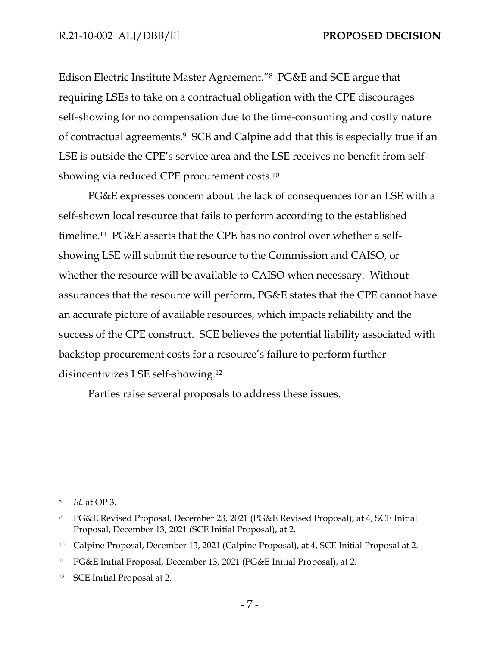Edison Electric Institute Master Agreement."8 PG&E and SCE argue that requiring LSEs to take on a contractual obligation with the CPE discourages self-showing for no compensation due to the time-consuming and costly nature of contractual agreements.9 SCE and Calpine add that this is especially true if an LSE is outside the CPE's service area and the LSE receives no benefit from selfshowing via reduced CPE procurement costs.10

PG&E expresses concern about the lack of consequences for an LSE with a self-shown local resource that fails to perform according to the established timeline.11 PG&E asserts that the CPE has no control over whether a selfshowing LSE will submit the resource to the Commission and CAISO, or whether the resource will be available to CAISO when necessary. Without assurances that the resource will perform, PG&E states that the CPE cannot have an accurate picture of available resources, which impacts reliability and the success of the CPE construct. SCE believes the potential liability associated with backstop procurement costs for a resource's failure to perform further disincentivizes LSE self-showing.12

Parties raise several proposals to address these issues.

<sup>8</sup> *Id*. at OP 3.

<sup>9</sup> PG&E Revised Proposal, December 23, 2021 (PG&E Revised Proposal), at 4, SCE Initial Proposal, December 13, 2021 (SCE Initial Proposal), at 2.

<sup>10</sup> Calpine Proposal, December 13, 2021 (Calpine Proposal), at 4, SCE Initial Proposal at 2.

<sup>11</sup> PG&E Initial Proposal, December 13, 2021 (PG&E Initial Proposal), at 2.

<sup>12</sup> SCE Initial Proposal at 2.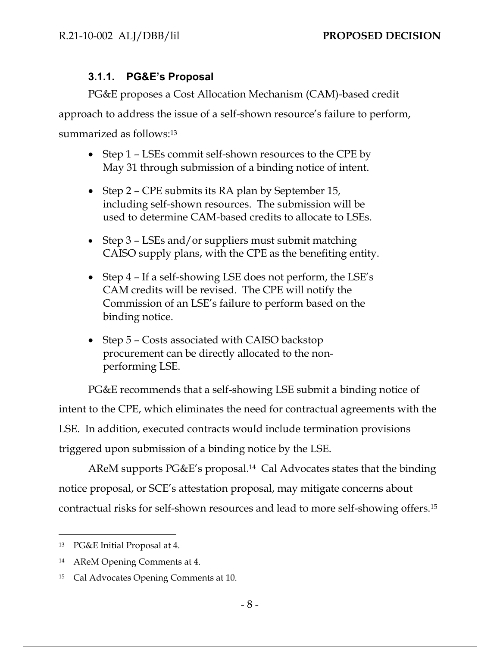## **3.1.1. PG&E's Proposal**

PG&E proposes a Cost Allocation Mechanism (CAM)-based credit approach to address the issue of a self-shown resource's failure to perform, summarized as follows:<sup>13</sup>

- Step 1 LSEs commit self-shown resources to the CPE by May 31 through submission of a binding notice of intent.
- Step 2 CPE submits its RA plan by September 15, including self-shown resources. The submission will be used to determine CAM-based credits to allocate to LSEs.
- Step 3 LSEs and/or suppliers must submit matching CAISO supply plans, with the CPE as the benefiting entity.
- Step 4 If a self-showing LSE does not perform, the LSE's CAM credits will be revised. The CPE will notify the Commission of an LSE's failure to perform based on the binding notice.
- Step 5 Costs associated with CAISO backstop procurement can be directly allocated to the nonperforming LSE.

PG&E recommends that a self-showing LSE submit a binding notice of intent to the CPE, which eliminates the need for contractual agreements with the LSE. In addition, executed contracts would include termination provisions triggered upon submission of a binding notice by the LSE.

AReM supports PG&E's proposal.14 Cal Advocates states that the binding notice proposal, or SCE's attestation proposal, may mitigate concerns about contractual risks for self-shown resources and lead to more self-showing offers.15

<sup>13</sup> PG&E Initial Proposal at 4.

<sup>14</sup> AReM Opening Comments at 4.

<sup>15</sup> Cal Advocates Opening Comments at 10.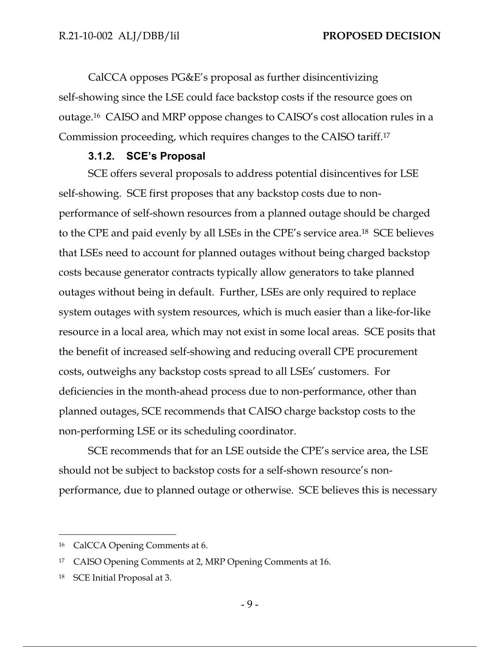CalCCA opposes PG&E's proposal as further disincentivizing self-showing since the LSE could face backstop costs if the resource goes on outage.16 CAISO and MRP oppose changes to CAISO's cost allocation rules in a Commission proceeding, which requires changes to the CAISO tariff.17

#### **3.1.2. SCE's Proposal**

SCE offers several proposals to address potential disincentives for LSE self-showing. SCE first proposes that any backstop costs due to nonperformance of self-shown resources from a planned outage should be charged to the CPE and paid evenly by all LSEs in the CPE's service area.18 SCE believes that LSEs need to account for planned outages without being charged backstop costs because generator contracts typically allow generators to take planned outages without being in default. Further, LSEs are only required to replace system outages with system resources, which is much easier than a like-for-like resource in a local area, which may not exist in some local areas. SCE posits that the benefit of increased self-showing and reducing overall CPE procurement costs, outweighs any backstop costs spread to all LSEs' customers. For deficiencies in the month-ahead process due to non-performance, other than planned outages, SCE recommends that CAISO charge backstop costs to the non-performing LSE or its scheduling coordinator.

SCE recommends that for an LSE outside the CPE's service area, the LSE should not be subject to backstop costs for a self-shown resource's nonperformance, due to planned outage or otherwise. SCE believes this is necessary

<sup>16</sup> CalCCA Opening Comments at 6.

<sup>17</sup> CAISO Opening Comments at 2, MRP Opening Comments at 16.

<sup>18</sup> SCE Initial Proposal at 3.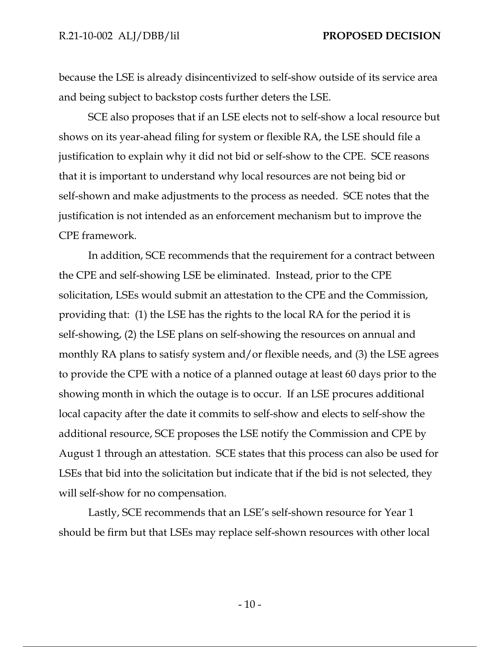because the LSE is already disincentivized to self-show outside of its service area and being subject to backstop costs further deters the LSE.

SCE also proposes that if an LSE elects not to self-show a local resource but shows on its year-ahead filing for system or flexible RA, the LSE should file a justification to explain why it did not bid or self-show to the CPE. SCE reasons that it is important to understand why local resources are not being bid or self-shown and make adjustments to the process as needed. SCE notes that the justification is not intended as an enforcement mechanism but to improve the CPE framework.

In addition, SCE recommends that the requirement for a contract between the CPE and self-showing LSE be eliminated. Instead, prior to the CPE solicitation, LSEs would submit an attestation to the CPE and the Commission, providing that: (1) the LSE has the rights to the local RA for the period it is self-showing, (2) the LSE plans on self-showing the resources on annual and monthly RA plans to satisfy system and/or flexible needs, and (3) the LSE agrees to provide the CPE with a notice of a planned outage at least 60 days prior to the showing month in which the outage is to occur. If an LSE procures additional local capacity after the date it commits to self-show and elects to self-show the additional resource, SCE proposes the LSE notify the Commission and CPE by August 1 through an attestation. SCE states that this process can also be used for LSEs that bid into the solicitation but indicate that if the bid is not selected, they will self-show for no compensation.

Lastly, SCE recommends that an LSE's self-shown resource for Year 1 should be firm but that LSEs may replace self-shown resources with other local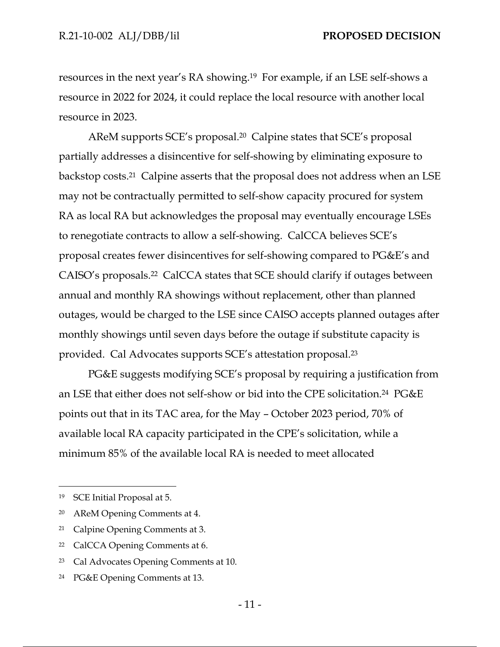resources in the next year's RA showing.19 For example, if an LSE self-shows a resource in 2022 for 2024, it could replace the local resource with another local resource in 2023.

AReM supports SCE's proposal.20 Calpine states that SCE's proposal partially addresses a disincentive for self-showing by eliminating exposure to backstop costs.21 Calpine asserts that the proposal does not address when an LSE may not be contractually permitted to self-show capacity procured for system RA as local RA but acknowledges the proposal may eventually encourage LSEs to renegotiate contracts to allow a self-showing. CalCCA believes SCE's proposal creates fewer disincentives for self-showing compared to PG&E's and CAISO's proposals.22 CalCCA states that SCE should clarify if outages between annual and monthly RA showings without replacement, other than planned outages, would be charged to the LSE since CAISO accepts planned outages after monthly showings until seven days before the outage if substitute capacity is provided. Cal Advocates supports SCE's attestation proposal.23

PG&E suggests modifying SCE's proposal by requiring a justification from an LSE that either does not self-show or bid into the CPE solicitation.24 PG&E points out that in its TAC area, for the May – October 2023 period, 70% of available local RA capacity participated in the CPE's solicitation, while a minimum 85% of the available local RA is needed to meet allocated

<sup>19</sup> SCE Initial Proposal at 5.

<sup>20</sup> AReM Opening Comments at 4.

<sup>21</sup> Calpine Opening Comments at 3.

<sup>22</sup> CalCCA Opening Comments at 6.

<sup>23</sup> Cal Advocates Opening Comments at 10.

<sup>24</sup> PG&E Opening Comments at 13.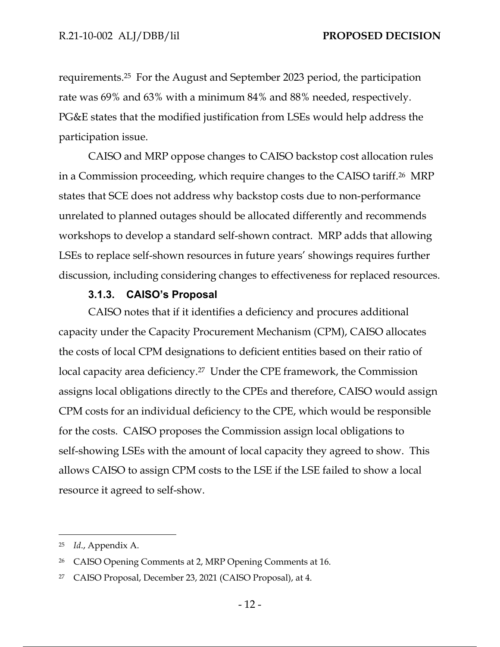requirements.25 For the August and September 2023 period, the participation rate was 69% and 63% with a minimum 84% and 88% needed, respectively. PG&E states that the modified justification from LSEs would help address the participation issue.

CAISO and MRP oppose changes to CAISO backstop cost allocation rules in a Commission proceeding, which require changes to the CAISO tariff.26 MRP states that SCE does not address why backstop costs due to non-performance unrelated to planned outages should be allocated differently and recommends workshops to develop a standard self-shown contract. MRP adds that allowing LSEs to replace self-shown resources in future years' showings requires further discussion, including considering changes to effectiveness for replaced resources.

#### **3.1.3. CAISO's Proposal**

CAISO notes that if it identifies a deficiency and procures additional capacity under the Capacity Procurement Mechanism (CPM), CAISO allocates the costs of local CPM designations to deficient entities based on their ratio of local capacity area deficiency.<sup>27</sup> Under the CPE framework, the Commission assigns local obligations directly to the CPEs and therefore, CAISO would assign CPM costs for an individual deficiency to the CPE, which would be responsible for the costs. CAISO proposes the Commission assign local obligations to self-showing LSEs with the amount of local capacity they agreed to show. This allows CAISO to assign CPM costs to the LSE if the LSE failed to show a local resource it agreed to self-show.

<sup>25</sup> *Id*., Appendix A.

<sup>26</sup> CAISO Opening Comments at 2, MRP Opening Comments at 16.

<sup>27</sup> CAISO Proposal, December 23, 2021 (CAISO Proposal), at 4.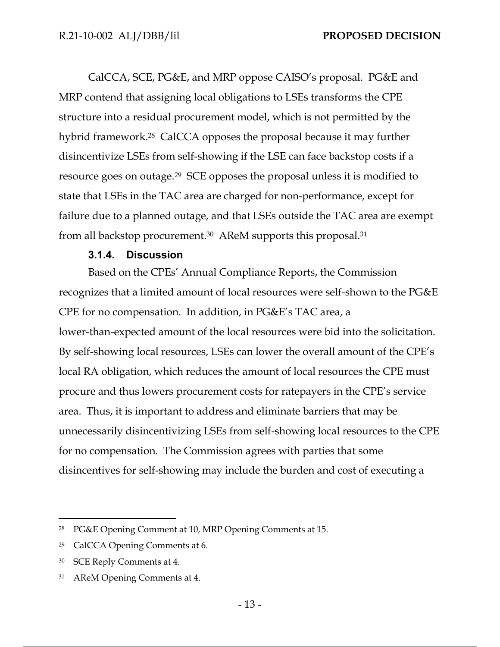CalCCA, SCE, PG&E, and MRP oppose CAISO's proposal. PG&E and MRP contend that assigning local obligations to LSEs transforms the CPE structure into a residual procurement model, which is not permitted by the hybrid framework.28 CalCCA opposes the proposal because it may further disincentivize LSEs from self-showing if the LSE can face backstop costs if a resource goes on outage.29 SCE opposes the proposal unless it is modified to state that LSEs in the TAC area are charged for non-performance, except for failure due to a planned outage, and that LSEs outside the TAC area are exempt from all backstop procurement.30 AReM supports this proposal.31

#### **3.1.4. Discussion**

Based on the CPEs' Annual Compliance Reports, the Commission recognizes that a limited amount of local resources were self-shown to the PG&E CPE for no compensation. In addition, in PG&E's TAC area, a lower-than-expected amount of the local resources were bid into the solicitation. By self-showing local resources, LSEs can lower the overall amount of the CPE's local RA obligation, which reduces the amount of local resources the CPE must procure and thus lowers procurement costs for ratepayers in the CPE's service area. Thus, it is important to address and eliminate barriers that may be unnecessarily disincentivizing LSEs from self-showing local resources to the CPE for no compensation. The Commission agrees with parties that some disincentives for self-showing may include the burden and cost of executing a

<sup>28</sup> PG&E Opening Comment at 10, MRP Opening Comments at 15.

<sup>29</sup> CalCCA Opening Comments at 6.

<sup>30</sup> SCE Reply Comments at 4.

<sup>31</sup> AReM Opening Comments at 4.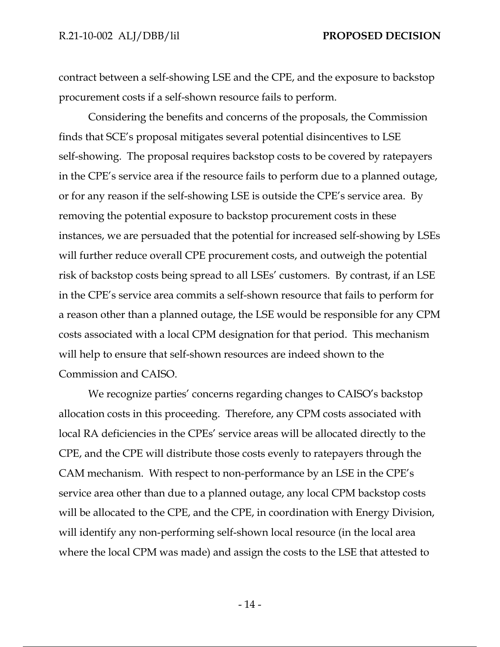contract between a self-showing LSE and the CPE, and the exposure to backstop procurement costs if a self-shown resource fails to perform.

Considering the benefits and concerns of the proposals, the Commission finds that SCE's proposal mitigates several potential disincentives to LSE self-showing. The proposal requires backstop costs to be covered by ratepayers in the CPE's service area if the resource fails to perform due to a planned outage, or for any reason if the self-showing LSE is outside the CPE's service area. By removing the potential exposure to backstop procurement costs in these instances, we are persuaded that the potential for increased self-showing by LSEs will further reduce overall CPE procurement costs, and outweigh the potential risk of backstop costs being spread to all LSEs' customers. By contrast, if an LSE in the CPE's service area commits a self-shown resource that fails to perform for a reason other than a planned outage, the LSE would be responsible for any CPM costs associated with a local CPM designation for that period. This mechanism will help to ensure that self-shown resources are indeed shown to the Commission and CAISO.

We recognize parties' concerns regarding changes to CAISO's backstop allocation costs in this proceeding. Therefore, any CPM costs associated with local RA deficiencies in the CPEs' service areas will be allocated directly to the CPE, and the CPE will distribute those costs evenly to ratepayers through the CAM mechanism. With respect to non-performance by an LSE in the CPE's service area other than due to a planned outage, any local CPM backstop costs will be allocated to the CPE, and the CPE, in coordination with Energy Division, will identify any non-performing self-shown local resource (in the local area where the local CPM was made) and assign the costs to the LSE that attested to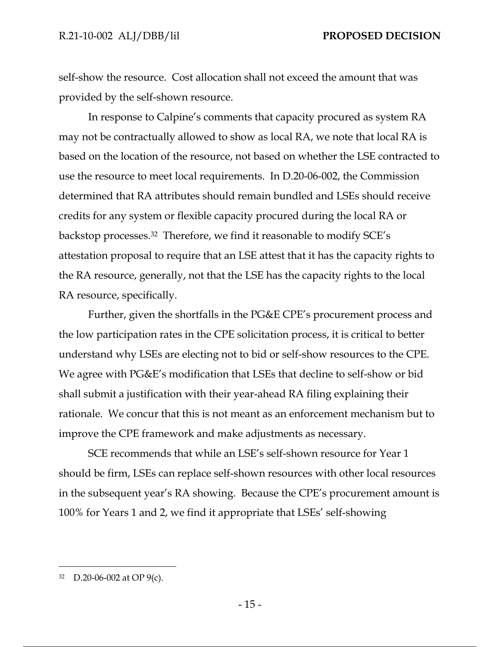self-show the resource. Cost allocation shall not exceed the amount that was provided by the self-shown resource.

In response to Calpine's comments that capacity procured as system RA may not be contractually allowed to show as local RA, we note that local RA is based on the location of the resource, not based on whether the LSE contracted to use the resource to meet local requirements. In D.20-06-002, the Commission determined that RA attributes should remain bundled and LSEs should receive credits for any system or flexible capacity procured during the local RA or backstop processes.32 Therefore, we find it reasonable to modify SCE's attestation proposal to require that an LSE attest that it has the capacity rights to the RA resource, generally, not that the LSE has the capacity rights to the local RA resource, specifically.

Further, given the shortfalls in the PG&E CPE's procurement process and the low participation rates in the CPE solicitation process, it is critical to better understand why LSEs are electing not to bid or self-show resources to the CPE. We agree with PG&E's modification that LSEs that decline to self-show or bid shall submit a justification with their year-ahead RA filing explaining their rationale. We concur that this is not meant as an enforcement mechanism but to improve the CPE framework and make adjustments as necessary.

SCE recommends that while an LSE's self-shown resource for Year 1 should be firm, LSEs can replace self-shown resources with other local resources in the subsequent year's RA showing. Because the CPE's procurement amount is 100% for Years 1 and 2, we find it appropriate that LSEs' self-showing

<sup>32</sup> D.20-06-002 at OP 9(c).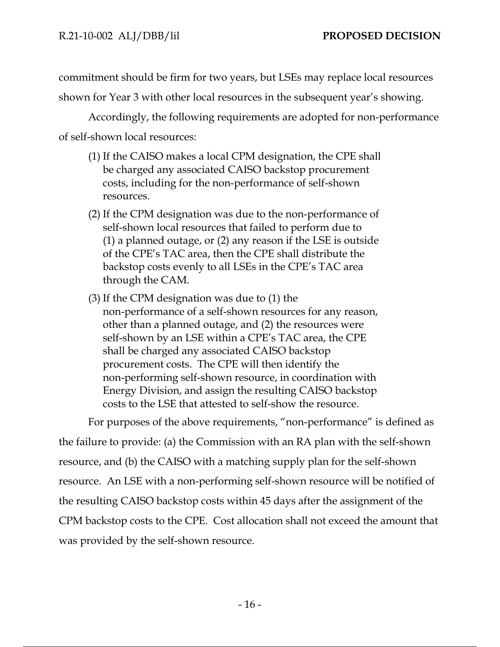commitment should be firm for two years, but LSEs may replace local resources

shown for Year 3 with other local resources in the subsequent year's showing.

Accordingly, the following requirements are adopted for non-performance of self-shown local resources:

- (1) If the CAISO makes a local CPM designation, the CPE shall be charged any associated CAISO backstop procurement costs, including for the non-performance of self-shown resources.
- (2) If the CPM designation was due to the non-performance of self-shown local resources that failed to perform due to (1) a planned outage, or (2) any reason if the LSE is outside of the CPE's TAC area, then the CPE shall distribute the backstop costs evenly to all LSEs in the CPE's TAC area through the CAM.
- (3) If the CPM designation was due to (1) the non-performance of a self-shown resources for any reason, other than a planned outage, and (2) the resources were self-shown by an LSE within a CPE's TAC area, the CPE shall be charged any associated CAISO backstop procurement costs. The CPE will then identify the non-performing self-shown resource, in coordination with Energy Division, and assign the resulting CAISO backstop costs to the LSE that attested to self-show the resource.

For purposes of the above requirements, "non-performance" is defined as the failure to provide: (a) the Commission with an RA plan with the self-shown resource, and (b) the CAISO with a matching supply plan for the self-shown resource. An LSE with a non-performing self-shown resource will be notified of the resulting CAISO backstop costs within 45 days after the assignment of the CPM backstop costs to the CPE. Cost allocation shall not exceed the amount that was provided by the self-shown resource.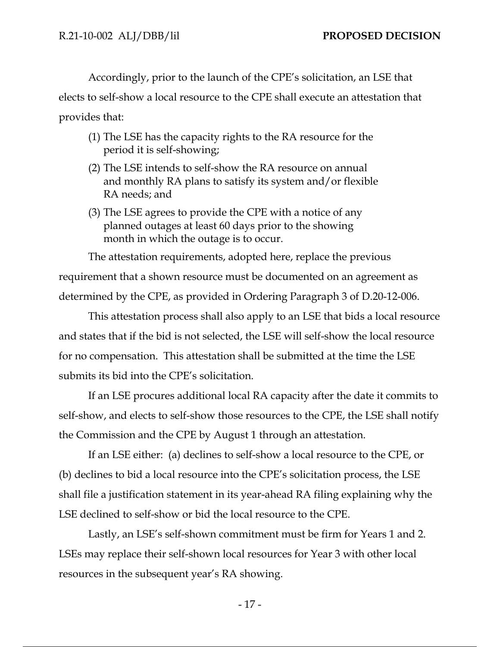Accordingly, prior to the launch of the CPE's solicitation, an LSE that

elects to self-show a local resource to the CPE shall execute an attestation that provides that:

- (1) The LSE has the capacity rights to the RA resource for the period it is self-showing;
- (2) The LSE intends to self-show the RA resource on annual and monthly RA plans to satisfy its system and/or flexible RA needs; and
- (3) The LSE agrees to provide the CPE with a notice of any planned outages at least 60 days prior to the showing month in which the outage is to occur.

The attestation requirements, adopted here, replace the previous requirement that a shown resource must be documented on an agreement as determined by the CPE, as provided in Ordering Paragraph 3 of D.20-12-006.

This attestation process shall also apply to an LSE that bids a local resource and states that if the bid is not selected, the LSE will self-show the local resource for no compensation. This attestation shall be submitted at the time the LSE submits its bid into the CPE's solicitation.

If an LSE procures additional local RA capacity after the date it commits to self-show, and elects to self-show those resources to the CPE, the LSE shall notify the Commission and the CPE by August 1 through an attestation.

If an LSE either: (a) declines to self-show a local resource to the CPE, or (b) declines to bid a local resource into the CPE's solicitation process, the LSE shall file a justification statement in its year-ahead RA filing explaining why the LSE declined to self-show or bid the local resource to the CPE.

Lastly, an LSE's self-shown commitment must be firm for Years 1 and 2. LSEs may replace their self-shown local resources for Year 3 with other local resources in the subsequent year's RA showing.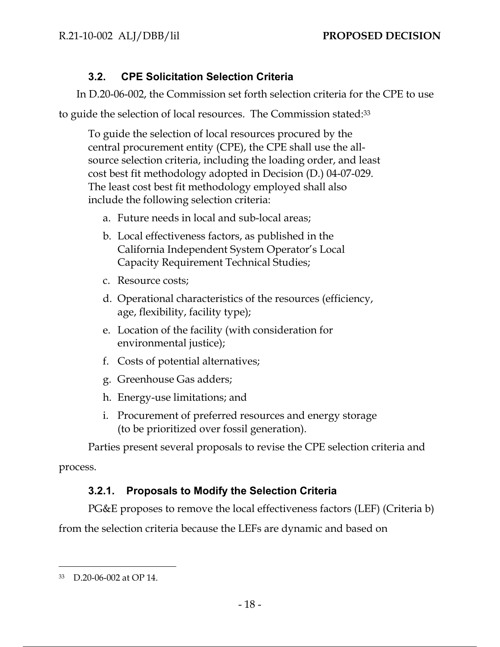## **3.2. CPE Solicitation Selection Criteria**

In D.20-06-002, the Commission set forth selection criteria for the CPE to use

to guide the selection of local resources. The Commission stated:33

To guide the selection of local resources procured by the central procurement entity (CPE), the CPE shall use the allsource selection criteria, including the loading order, and least cost best fit methodology adopted in Decision (D.) 04-07-029. The least cost best fit methodology employed shall also include the following selection criteria:

- a. Future needs in local and sub-local areas;
- b. Local effectiveness factors, as published in the California Independent System Operator's Local Capacity Requirement Technical Studies;
- c. Resource costs;
- d. Operational characteristics of the resources (efficiency, age, flexibility, facility type);
- e. Location of the facility (with consideration for environmental justice);
- f. Costs of potential alternatives;
- g. Greenhouse Gas adders;
- h. Energy-use limitations; and
- i. Procurement of preferred resources and energy storage (to be prioritized over fossil generation).

Parties present several proposals to revise the CPE selection criteria and

process.

## **3.2.1. Proposals to Modify the Selection Criteria**

PG&E proposes to remove the local effectiveness factors (LEF) (Criteria b)

from the selection criteria because the LEFs are dynamic and based on

<sup>33</sup> D.20-06-002 at OP 14.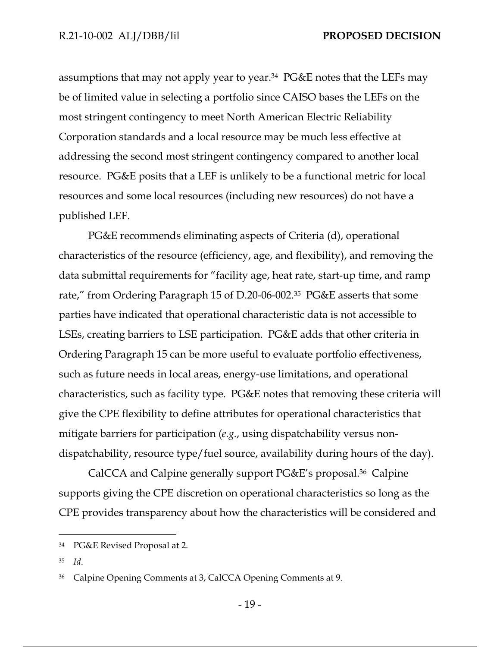assumptions that may not apply year to year.34 PG&E notes that the LEFs may be of limited value in selecting a portfolio since CAISO bases the LEFs on the most stringent contingency to meet North American Electric Reliability Corporation standards and a local resource may be much less effective at addressing the second most stringent contingency compared to another local resource. PG&E posits that a LEF is unlikely to be a functional metric for local resources and some local resources (including new resources) do not have a published LEF.

PG&E recommends eliminating aspects of Criteria (d), operational characteristics of the resource (efficiency, age, and flexibility), and removing the data submittal requirements for "facility age, heat rate, start-up time, and ramp rate," from Ordering Paragraph 15 of D.20-06-002.35 PG&E asserts that some parties have indicated that operational characteristic data is not accessible to LSEs, creating barriers to LSE participation. PG&E adds that other criteria in Ordering Paragraph 15 can be more useful to evaluate portfolio effectiveness, such as future needs in local areas, energy-use limitations, and operational characteristics, such as facility type. PG&E notes that removing these criteria will give the CPE flexibility to define attributes for operational characteristics that mitigate barriers for participation (*e.g.*, using dispatchability versus nondispatchability, resource type/fuel source, availability during hours of the day).

CalCCA and Calpine generally support PG&E's proposal.36 Calpine supports giving the CPE discretion on operational characteristics so long as the CPE provides transparency about how the characteristics will be considered and

<sup>34</sup> PG&E Revised Proposal at 2.

<sup>35</sup> *Id*.

<sup>36</sup> Calpine Opening Comments at 3, CalCCA Opening Comments at 9.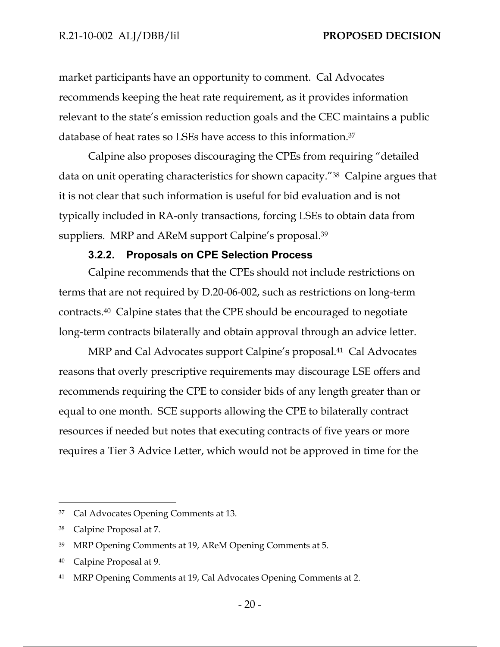market participants have an opportunity to comment. Cal Advocates recommends keeping the heat rate requirement, as it provides information relevant to the state's emission reduction goals and the CEC maintains a public database of heat rates so LSEs have access to this information.37

Calpine also proposes discouraging the CPEs from requiring "detailed data on unit operating characteristics for shown capacity."38 Calpine argues that it is not clear that such information is useful for bid evaluation and is not typically included in RA-only transactions, forcing LSEs to obtain data from suppliers. MRP and AReM support Calpine's proposal.<sup>39</sup>

#### **3.2.2. Proposals on CPE Selection Process**

Calpine recommends that the CPEs should not include restrictions on terms that are not required by D.20-06-002, such as restrictions on long-term contracts.40 Calpine states that the CPE should be encouraged to negotiate long-term contracts bilaterally and obtain approval through an advice letter.

MRP and Cal Advocates support Calpine's proposal.<sup>41</sup> Cal Advocates reasons that overly prescriptive requirements may discourage LSE offers and recommends requiring the CPE to consider bids of any length greater than or equal to one month. SCE supports allowing the CPE to bilaterally contract resources if needed but notes that executing contracts of five years or more requires a Tier 3 Advice Letter, which would not be approved in time for the

<sup>37</sup> Cal Advocates Opening Comments at 13.

<sup>38</sup> Calpine Proposal at 7.

<sup>39</sup> MRP Opening Comments at 19, AReM Opening Comments at 5.

<sup>40</sup> Calpine Proposal at 9.

<sup>41</sup> MRP Opening Comments at 19, Cal Advocates Opening Comments at 2.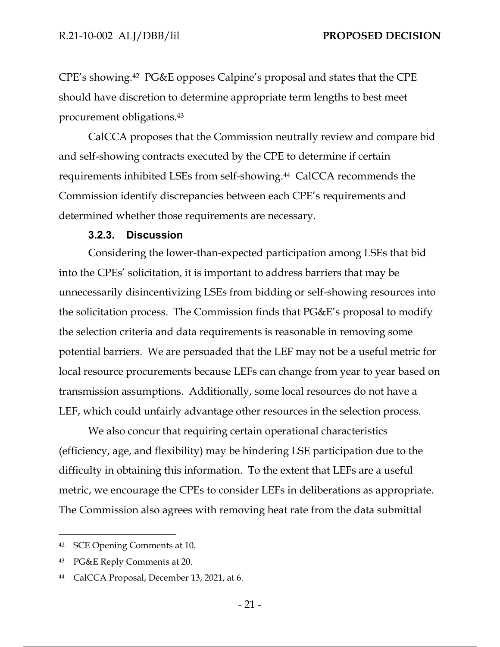CPE's showing.42 PG&E opposes Calpine's proposal and states that the CPE should have discretion to determine appropriate term lengths to best meet procurement obligations.43

CalCCA proposes that the Commission neutrally review and compare bid and self-showing contracts executed by the CPE to determine if certain requirements inhibited LSEs from self-showing.44 CalCCA recommends the Commission identify discrepancies between each CPE's requirements and determined whether those requirements are necessary.

#### **3.2.3. Discussion**

Considering the lower-than-expected participation among LSEs that bid into the CPEs' solicitation, it is important to address barriers that may be unnecessarily disincentivizing LSEs from bidding or self-showing resources into the solicitation process. The Commission finds that PG&E's proposal to modify the selection criteria and data requirements is reasonable in removing some potential barriers. We are persuaded that the LEF may not be a useful metric for local resource procurements because LEFs can change from year to year based on transmission assumptions. Additionally, some local resources do not have a LEF, which could unfairly advantage other resources in the selection process.

We also concur that requiring certain operational characteristics (efficiency, age, and flexibility) may be hindering LSE participation due to the difficulty in obtaining this information. To the extent that LEFs are a useful metric, we encourage the CPEs to consider LEFs in deliberations as appropriate. The Commission also agrees with removing heat rate from the data submittal

<sup>42</sup> SCE Opening Comments at 10.

<sup>43</sup> PG&E Reply Comments at 20.

<sup>44</sup> CalCCA Proposal, December 13, 2021, at 6.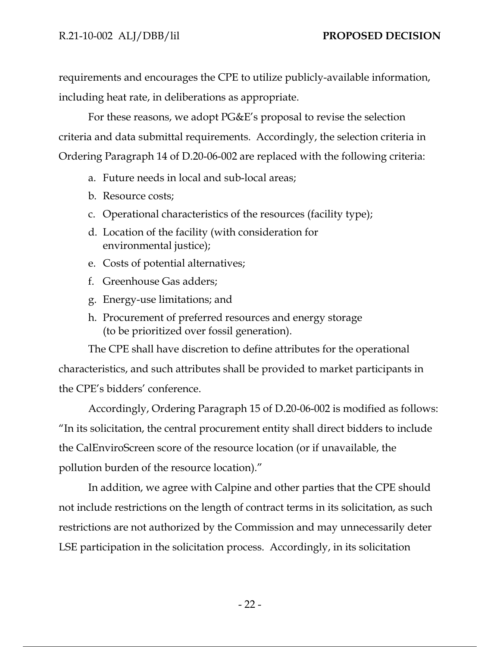requirements and encourages the CPE to utilize publicly-available information, including heat rate, in deliberations as appropriate.

For these reasons, we adopt PG&E's proposal to revise the selection criteria and data submittal requirements. Accordingly, the selection criteria in Ordering Paragraph 14 of D.20-06-002 are replaced with the following criteria:

- a. Future needs in local and sub-local areas;
- b. Resource costs;
- c. Operational characteristics of the resources (facility type);
- d. Location of the facility (with consideration for environmental justice);
- e. Costs of potential alternatives;
- f. Greenhouse Gas adders;
- g. Energy-use limitations; and
- h. Procurement of preferred resources and energy storage (to be prioritized over fossil generation).

The CPE shall have discretion to define attributes for the operational characteristics, and such attributes shall be provided to market participants in the CPE's bidders' conference.

Accordingly, Ordering Paragraph 15 of D.20-06-002 is modified as follows: "In its solicitation, the central procurement entity shall direct bidders to include the CalEnviroScreen score of the resource location (or if unavailable, the pollution burden of the resource location)."

In addition, we agree with Calpine and other parties that the CPE should not include restrictions on the length of contract terms in its solicitation, as such restrictions are not authorized by the Commission and may unnecessarily deter LSE participation in the solicitation process. Accordingly, in its solicitation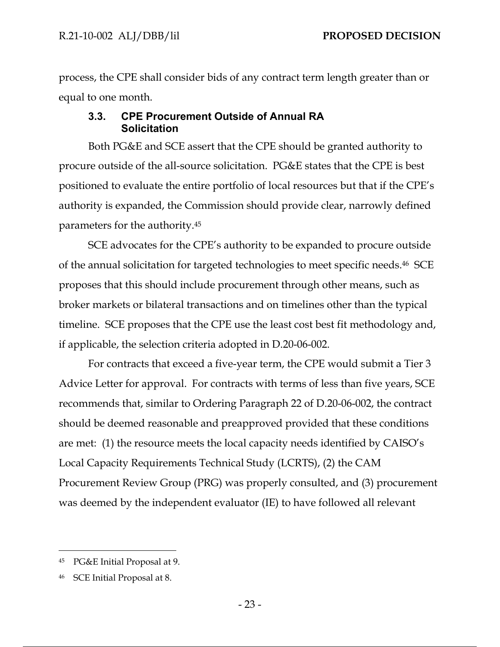process, the CPE shall consider bids of any contract term length greater than or equal to one month.

## **3.3. CPE Procurement Outside of Annual RA Solicitation**

Both PG&E and SCE assert that the CPE should be granted authority to procure outside of the all-source solicitation. PG&E states that the CPE is best positioned to evaluate the entire portfolio of local resources but that if the CPE's authority is expanded, the Commission should provide clear, narrowly defined parameters for the authority.45

SCE advocates for the CPE's authority to be expanded to procure outside of the annual solicitation for targeted technologies to meet specific needs.46 SCE proposes that this should include procurement through other means, such as broker markets or bilateral transactions and on timelines other than the typical timeline. SCE proposes that the CPE use the least cost best fit methodology and, if applicable, the selection criteria adopted in D.20-06-002.

For contracts that exceed a five-year term, the CPE would submit a Tier 3 Advice Letter for approval. For contracts with terms of less than five years, SCE recommends that, similar to Ordering Paragraph 22 of D.20-06-002, the contract should be deemed reasonable and preapproved provided that these conditions are met: (1) the resource meets the local capacity needs identified by CAISO's Local Capacity Requirements Technical Study (LCRTS), (2) the CAM Procurement Review Group (PRG) was properly consulted, and (3) procurement was deemed by the independent evaluator (IE) to have followed all relevant

<sup>45</sup> PG&E Initial Proposal at 9.

<sup>46</sup> SCE Initial Proposal at 8.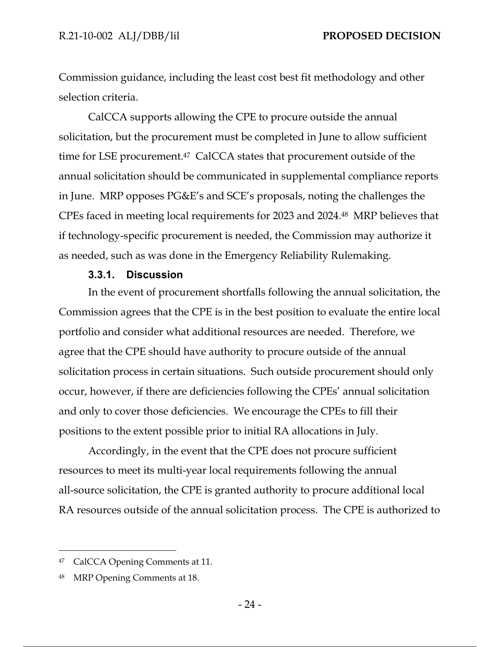Commission guidance, including the least cost best fit methodology and other selection criteria.

CalCCA supports allowing the CPE to procure outside the annual solicitation, but the procurement must be completed in June to allow sufficient time for LSE procurement.<sup>47</sup> CalCCA states that procurement outside of the annual solicitation should be communicated in supplemental compliance reports in June. MRP opposes PG&E's and SCE's proposals, noting the challenges the CPEs faced in meeting local requirements for 2023 and 2024.48 MRP believes that if technology-specific procurement is needed, the Commission may authorize it as needed, such as was done in the Emergency Reliability Rulemaking.

#### **3.3.1. Discussion**

In the event of procurement shortfalls following the annual solicitation, the Commission agrees that the CPE is in the best position to evaluate the entire local portfolio and consider what additional resources are needed. Therefore, we agree that the CPE should have authority to procure outside of the annual solicitation process in certain situations. Such outside procurement should only occur, however, if there are deficiencies following the CPEs' annual solicitation and only to cover those deficiencies. We encourage the CPEs to fill their positions to the extent possible prior to initial RA allocations in July.

Accordingly, in the event that the CPE does not procure sufficient resources to meet its multi-year local requirements following the annual all-source solicitation, the CPE is granted authority to procure additional local RA resources outside of the annual solicitation process. The CPE is authorized to

<sup>47</sup> CalCCA Opening Comments at 11.

<sup>48</sup> MRP Opening Comments at 18.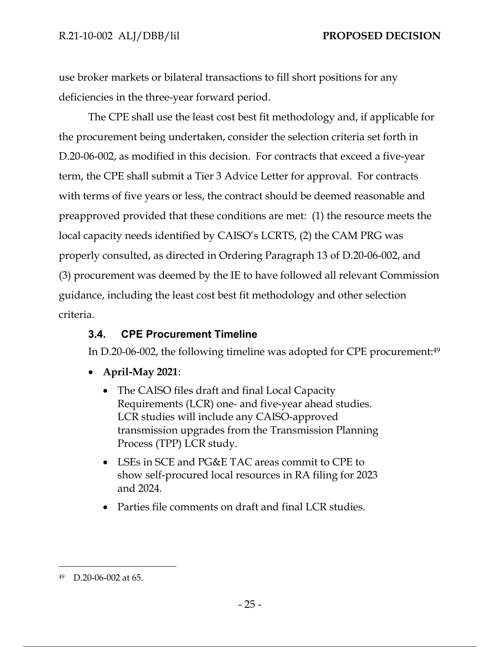use broker markets or bilateral transactions to fill short positions for any deficiencies in the three-year forward period.

The CPE shall use the least cost best fit methodology and, if applicable for the procurement being undertaken, consider the selection criteria set forth in D.20-06-002, as modified in this decision. For contracts that exceed a five-year term, the CPE shall submit a Tier 3 Advice Letter for approval. For contracts with terms of five years or less, the contract should be deemed reasonable and preapproved provided that these conditions are met: (1) the resource meets the local capacity needs identified by CAISO's LCRTS, (2) the CAM PRG was properly consulted, as directed in Ordering Paragraph 13 of D.20-06-002, and (3) procurement was deemed by the IE to have followed all relevant Commission guidance, including the least cost best fit methodology and other selection criteria.

## **3.4. CPE Procurement Timeline**

In D.20-06-002, the following timeline was adopted for CPE procurement:49

- **April-May 2021**:
	- The CAISO files draft and final Local Capacity Requirements (LCR) one- and five-year ahead studies. LCR studies will include any CAISO-approved transmission upgrades from the Transmission Planning Process (TPP) LCR study.
	- LSEs in SCE and PG&E TAC areas commit to CPE to show self-procured local resources in RA filing for 2023 and 2024.
	- Parties file comments on draft and final LCR studies.

<sup>49</sup> D.20-06-002 at 65.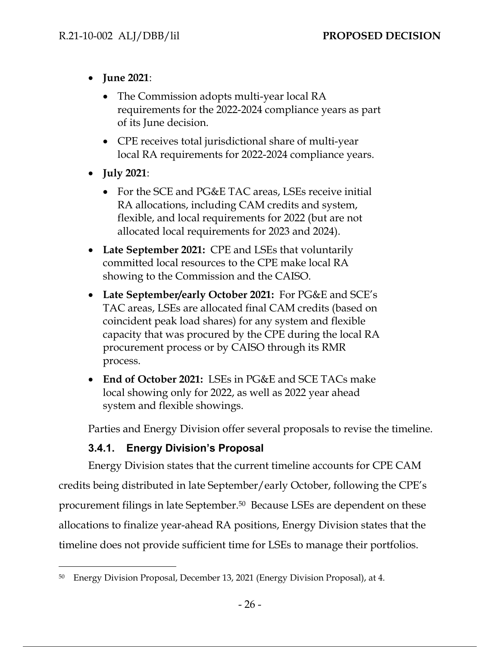- **June 2021**:
	- The Commission adopts multi-year local RA requirements for the 2022-2024 compliance years as part of its June decision.
	- CPE receives total jurisdictional share of multi-year local RA requirements for 2022-2024 compliance years.
- **July 2021**:
	- For the SCE and PG&E TAC areas, LSEs receive initial RA allocations, including CAM credits and system, flexible, and local requirements for 2022 (but are not allocated local requirements for 2023 and 2024).
- **Late September 2021:** CPE and LSEs that voluntarily committed local resources to the CPE make local RA showing to the Commission and the CAISO.
- **Late September/early October 2021:** For PG&E and SCE's TAC areas, LSEs are allocated final CAM credits (based on coincident peak load shares) for any system and flexible capacity that was procured by the CPE during the local RA procurement process or by CAISO through its RMR process.
- **End of October 2021:** LSEs in PG&E and SCE TACs make local showing only for 2022, as well as 2022 year ahead system and flexible showings.

Parties and Energy Division offer several proposals to revise the timeline.

## **3.4.1. Energy Division's Proposal**

Energy Division states that the current timeline accounts for CPE CAM credits being distributed in late September/early October, following the CPE's procurement filings in late September.50 Because LSEs are dependent on these allocations to finalize year-ahead RA positions, Energy Division states that the timeline does not provide sufficient time for LSEs to manage their portfolios.

<sup>50</sup> Energy Division Proposal, December 13, 2021 (Energy Division Proposal), at 4.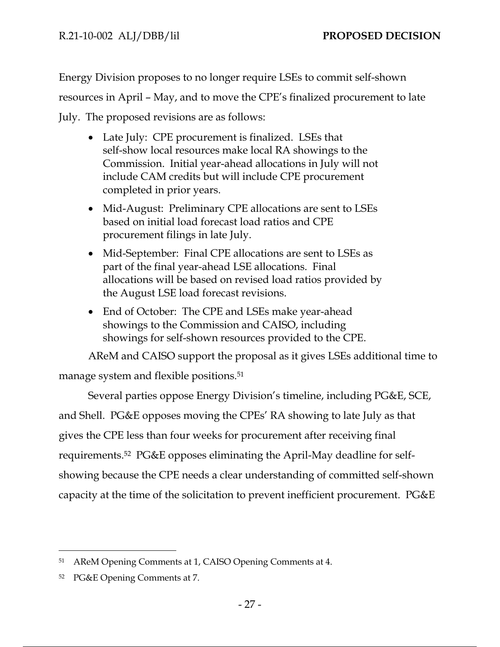Energy Division proposes to no longer require LSEs to commit self-shown resources in April – May, and to move the CPE's finalized procurement to late

July. The proposed revisions are as follows:

- Late July: CPE procurement is finalized. LSEs that self-show local resources make local RA showings to the Commission. Initial year-ahead allocations in July will not include CAM credits but will include CPE procurement completed in prior years.
- Mid-August: Preliminary CPE allocations are sent to LSEs based on initial load forecast load ratios and CPE procurement filings in late July.
- Mid-September: Final CPE allocations are sent to LSEs as part of the final year-ahead LSE allocations. Final allocations will be based on revised load ratios provided by the August LSE load forecast revisions.
- End of October: The CPE and LSEs make year-ahead showings to the Commission and CAISO, including showings for self-shown resources provided to the CPE.

AReM and CAISO support the proposal as it gives LSEs additional time to manage system and flexible positions.<sup>51</sup>

Several parties oppose Energy Division's timeline, including PG&E, SCE, and Shell. PG&E opposes moving the CPEs' RA showing to late July as that gives the CPE less than four weeks for procurement after receiving final requirements.52 PG&E opposes eliminating the April-May deadline for selfshowing because the CPE needs a clear understanding of committed self-shown capacity at the time of the solicitation to prevent inefficient procurement. PG&E

<sup>51</sup> AReM Opening Comments at 1, CAISO Opening Comments at 4.

<sup>52</sup> PG&E Opening Comments at 7.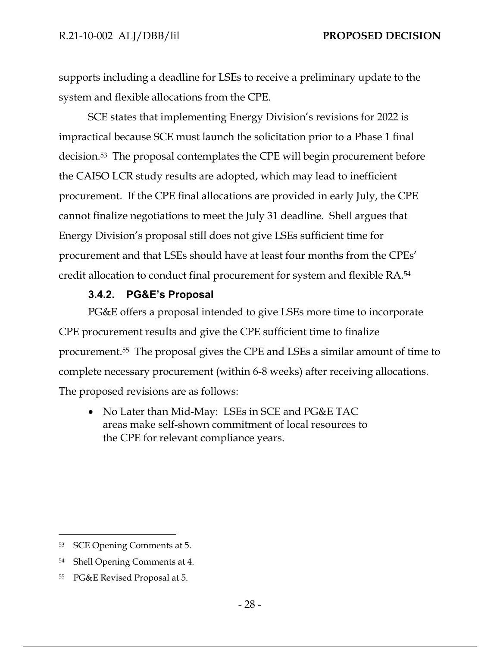supports including a deadline for LSEs to receive a preliminary update to the system and flexible allocations from the CPE.

SCE states that implementing Energy Division's revisions for 2022 is impractical because SCE must launch the solicitation prior to a Phase 1 final decision.53 The proposal contemplates the CPE will begin procurement before the CAISO LCR study results are adopted, which may lead to inefficient procurement. If the CPE final allocations are provided in early July, the CPE cannot finalize negotiations to meet the July 31 deadline. Shell argues that Energy Division's proposal still does not give LSEs sufficient time for procurement and that LSEs should have at least four months from the CPEs' credit allocation to conduct final procurement for system and flexible RA.54

#### **3.4.2. PG&E's Proposal**

PG&E offers a proposal intended to give LSEs more time to incorporate CPE procurement results and give the CPE sufficient time to finalize procurement.55 The proposal gives the CPE and LSEs a similar amount of time to complete necessary procurement (within 6-8 weeks) after receiving allocations. The proposed revisions are as follows:

• No Later than Mid-May: LSEs in SCE and PG&E TAC areas make self-shown commitment of local resources to the CPE for relevant compliance years.

<sup>53</sup> SCE Opening Comments at 5.

<sup>54</sup> Shell Opening Comments at 4.

<sup>55</sup> PG&E Revised Proposal at 5.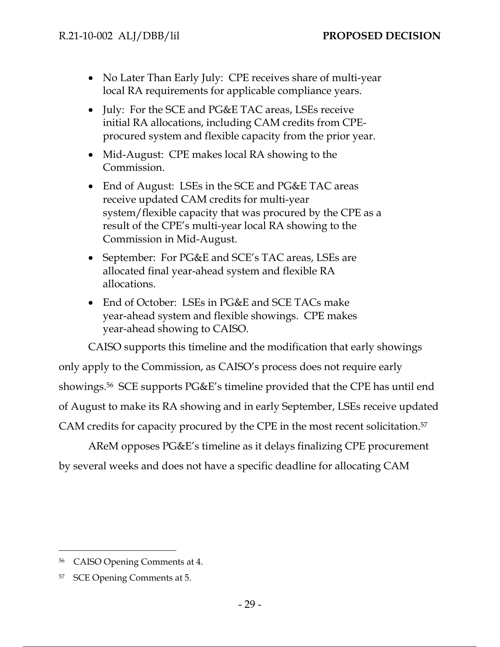- No Later Than Early July: CPE receives share of multi-year local RA requirements for applicable compliance years.
- July: For the SCE and PG&E TAC areas, LSEs receive initial RA allocations, including CAM credits from CPEprocured system and flexible capacity from the prior year.
- Mid-August: CPE makes local RA showing to the Commission.
- End of August: LSEs in the SCE and PG&E TAC areas receive updated CAM credits for multi-year system/flexible capacity that was procured by the CPE as a result of the CPE's multi-year local RA showing to the Commission in Mid-August.
- September: For PG&E and SCE's TAC areas, LSEs are allocated final year-ahead system and flexible RA allocations.
- End of October: LSEs in PG&E and SCE TACs make year-ahead system and flexible showings. CPE makes year-ahead showing to CAISO.

CAISO supports this timeline and the modification that early showings

only apply to the Commission, as CAISO's process does not require early showings.56 SCE supports PG&E's timeline provided that the CPE has until end of August to make its RA showing and in early September, LSEs receive updated CAM credits for capacity procured by the CPE in the most recent solicitation.57

AReM opposes PG&E's timeline as it delays finalizing CPE procurement by several weeks and does not have a specific deadline for allocating CAM

<sup>56</sup> CAISO Opening Comments at 4.

<sup>57</sup> SCE Opening Comments at 5.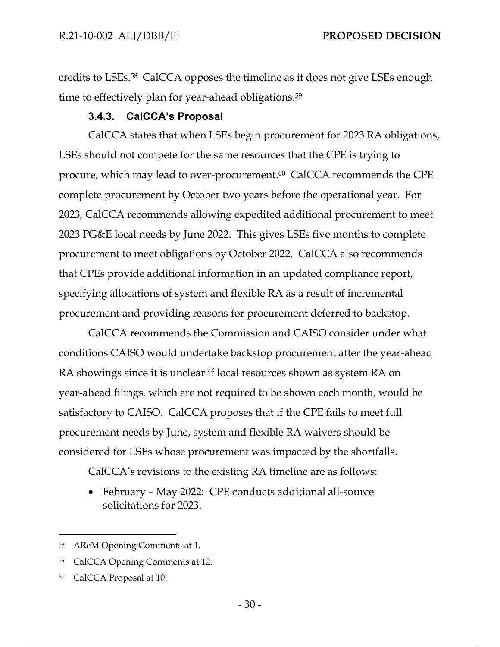credits to LSEs.58 CalCCA opposes the timeline as it does not give LSEs enough time to effectively plan for year-ahead obligations.<sup>59</sup>

## **3.4.3. CalCCA's Proposal**

CalCCA states that when LSEs begin procurement for 2023 RA obligations, LSEs should not compete for the same resources that the CPE is trying to procure, which may lead to over-procurement.60 CalCCA recommends the CPE complete procurement by October two years before the operational year. For 2023, CalCCA recommends allowing expedited additional procurement to meet 2023 PG&E local needs by June 2022. This gives LSEs five months to complete procurement to meet obligations by October 2022. CalCCA also recommends that CPEs provide additional information in an updated compliance report, specifying allocations of system and flexible RA as a result of incremental procurement and providing reasons for procurement deferred to backstop.

CalCCA recommends the Commission and CAISO consider under what conditions CAISO would undertake backstop procurement after the year-ahead RA showings since it is unclear if local resources shown as system RA on year-ahead filings, which are not required to be shown each month, would be satisfactory to CAISO. CalCCA proposes that if the CPE fails to meet full procurement needs by June, system and flexible RA waivers should be considered for LSEs whose procurement was impacted by the shortfalls.

CalCCA's revisions to the existing RA timeline are as follows:

 February – May 2022: CPE conducts additional all-source solicitations for 2023.

<sup>58</sup> AReM Opening Comments at 1.

<sup>59</sup> CalCCA Opening Comments at 12.

<sup>60</sup> CalCCA Proposal at 10.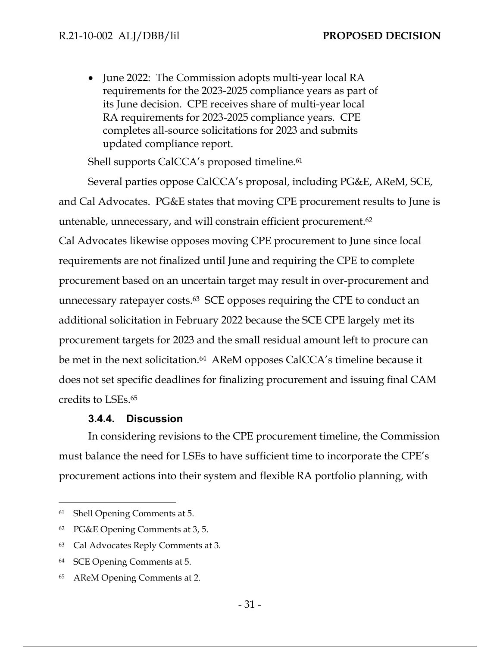• June 2022: The Commission adopts multi-year local RA requirements for the 2023-2025 compliance years as part of its June decision. CPE receives share of multi-year local RA requirements for 2023-2025 compliance years. CPE completes all-source solicitations for 2023 and submits updated compliance report.

Shell supports CalCCA's proposed timeline.<sup>61</sup>

Several parties oppose CalCCA's proposal, including PG&E, AReM, SCE, and Cal Advocates. PG&E states that moving CPE procurement results to June is untenable, unnecessary, and will constrain efficient procurement.62 Cal Advocates likewise opposes moving CPE procurement to June since local requirements are not finalized until June and requiring the CPE to complete procurement based on an uncertain target may result in over-procurement and unnecessary ratepayer costs.63 SCE opposes requiring the CPE to conduct an additional solicitation in February 2022 because the SCE CPE largely met its procurement targets for 2023 and the small residual amount left to procure can be met in the next solicitation.<sup>64</sup> AReM opposes CalCCA's timeline because it does not set specific deadlines for finalizing procurement and issuing final CAM credits to LSEs.65

#### **3.4.4. Discussion**

In considering revisions to the CPE procurement timeline, the Commission must balance the need for LSEs to have sufficient time to incorporate the CPE's procurement actions into their system and flexible RA portfolio planning, with

<sup>61</sup> Shell Opening Comments at 5.

<sup>62</sup> PG&E Opening Comments at 3, 5.

<sup>63</sup> Cal Advocates Reply Comments at 3.

<sup>64</sup> SCE Opening Comments at 5.

<sup>65</sup> AReM Opening Comments at 2.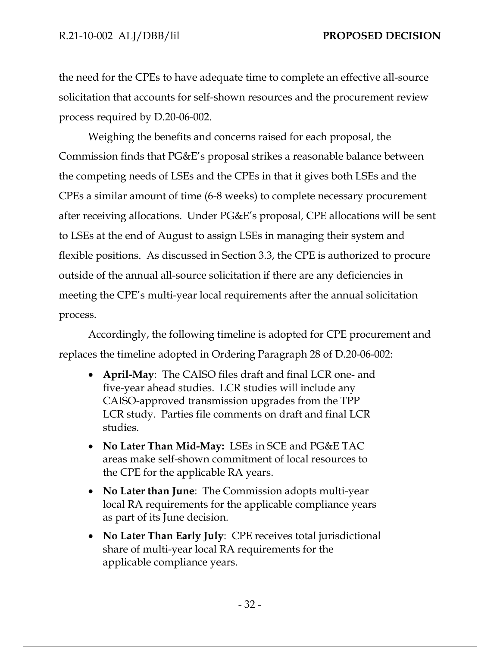the need for the CPEs to have adequate time to complete an effective all-source solicitation that accounts for self-shown resources and the procurement review process required by D.20-06-002.

Weighing the benefits and concerns raised for each proposal, the Commission finds that PG&E's proposal strikes a reasonable balance between the competing needs of LSEs and the CPEs in that it gives both LSEs and the CPEs a similar amount of time (6-8 weeks) to complete necessary procurement after receiving allocations. Under PG&E's proposal, CPE allocations will be sent to LSEs at the end of August to assign LSEs in managing their system and flexible positions. As discussed in Section 3.3, the CPE is authorized to procure outside of the annual all-source solicitation if there are any deficiencies in meeting the CPE's multi-year local requirements after the annual solicitation process.

Accordingly, the following timeline is adopted for CPE procurement and replaces the timeline adopted in Ordering Paragraph 28 of D.20-06-002:

- **April-May**: The CAISO files draft and final LCR one- and five-year ahead studies. LCR studies will include any CAISO-approved transmission upgrades from the TPP LCR study. Parties file comments on draft and final LCR studies.
- **No Later Than Mid-May:** LSEs in SCE and PG&E TAC areas make self-shown commitment of local resources to the CPE for the applicable RA years.
- **No Later than June**: The Commission adopts multi-year local RA requirements for the applicable compliance years as part of its June decision.
- **No Later Than Early July**: CPE receives total jurisdictional share of multi-year local RA requirements for the applicable compliance years.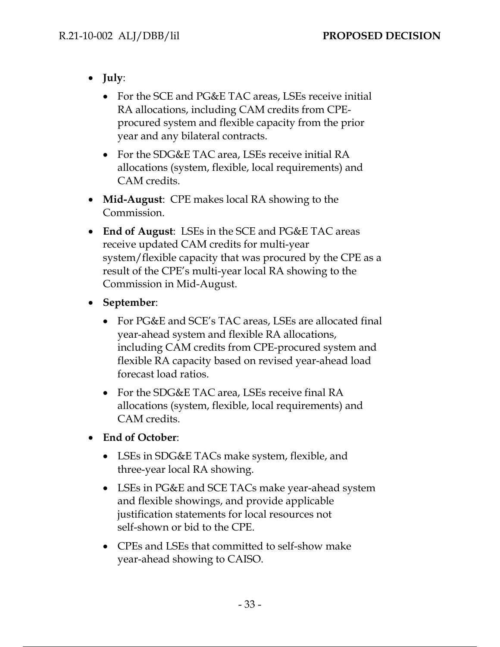- **July**:
	- For the SCE and PG&E TAC areas, LSEs receive initial RA allocations, including CAM credits from CPEprocured system and flexible capacity from the prior year and any bilateral contracts.
	- For the SDG&E TAC area, LSEs receive initial RA allocations (system, flexible, local requirements) and CAM credits.
- **Mid-August**: CPE makes local RA showing to the Commission.
- **End of August**: LSEs in the SCE and PG&E TAC areas receive updated CAM credits for multi-year system/flexible capacity that was procured by the CPE as a result of the CPE's multi-year local RA showing to the Commission in Mid-August.
- **September**:
	- For PG&E and SCE's TAC areas, LSEs are allocated final year-ahead system and flexible RA allocations, including CAM credits from CPE-procured system and flexible RA capacity based on revised year-ahead load forecast load ratios.
	- For the SDG&E TAC area, LSEs receive final RA allocations (system, flexible, local requirements) and CAM credits.
- **End of October**:
	- LSEs in SDG&E TACs make system, flexible, and three-year local RA showing.
	- LSEs in PG&E and SCE TACs make year-ahead system and flexible showings, and provide applicable justification statements for local resources not self-shown or bid to the CPE.
	- CPEs and LSEs that committed to self-show make year-ahead showing to CAISO.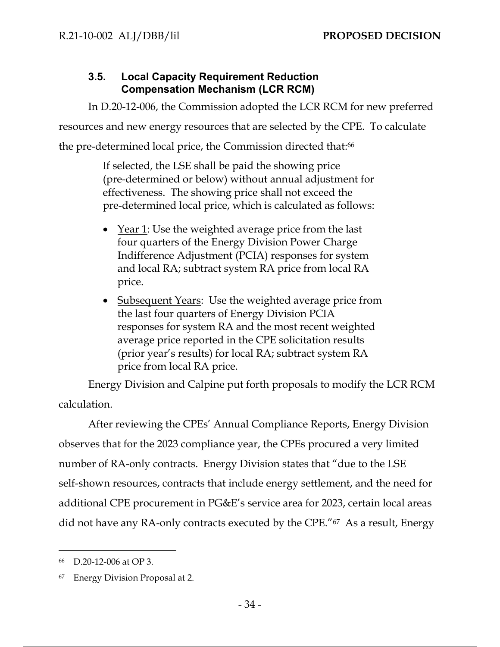# **3.5. Local Capacity Requirement Reduction Compensation Mechanism (LCR RCM)**

In D.20-12-006, the Commission adopted the LCR RCM for new preferred resources and new energy resources that are selected by the CPE. To calculate the pre-determined local price, the Commission directed that:<sup>66</sup>

> If selected, the LSE shall be paid the showing price (pre-determined or below) without annual adjustment for effectiveness. The showing price shall not exceed the pre-determined local price, which is calculated as follows:

- Year 1: Use the weighted average price from the last four quarters of the Energy Division Power Charge Indifference Adjustment (PCIA) responses for system and local RA; subtract system RA price from local RA price.
- Subsequent Years: Use the weighted average price from the last four quarters of Energy Division PCIA responses for system RA and the most recent weighted average price reported in the CPE solicitation results (prior year's results) for local RA; subtract system RA price from local RA price.

Energy Division and Calpine put forth proposals to modify the LCR RCM calculation.

After reviewing the CPEs' Annual Compliance Reports, Energy Division observes that for the 2023 compliance year, the CPEs procured a very limited number of RA-only contracts. Energy Division states that "due to the LSE self-shown resources, contracts that include energy settlement, and the need for additional CPE procurement in PG&E's service area for 2023, certain local areas did not have any RA-only contracts executed by the CPE."67 As a result, Energy

<sup>66</sup> D.20-12-006 at OP 3.

<sup>67</sup> Energy Division Proposal at 2.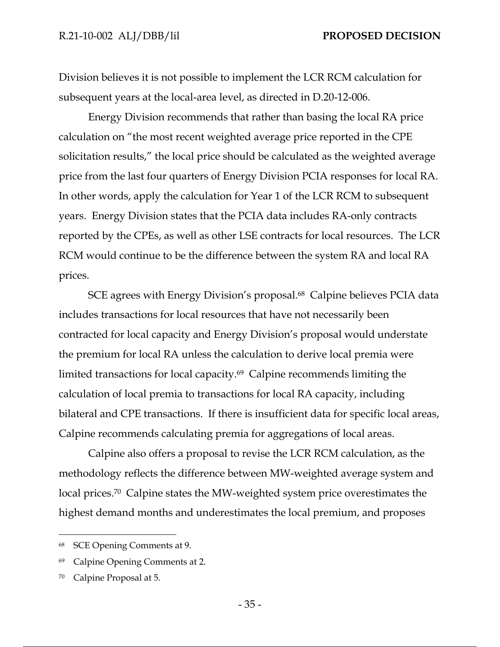Division believes it is not possible to implement the LCR RCM calculation for subsequent years at the local-area level, as directed in D.20-12-006.

Energy Division recommends that rather than basing the local RA price calculation on "the most recent weighted average price reported in the CPE solicitation results," the local price should be calculated as the weighted average price from the last four quarters of Energy Division PCIA responses for local RA. In other words, apply the calculation for Year 1 of the LCR RCM to subsequent years. Energy Division states that the PCIA data includes RA-only contracts reported by the CPEs, as well as other LSE contracts for local resources. The LCR RCM would continue to be the difference between the system RA and local RA prices.

SCE agrees with Energy Division's proposal.<sup>68</sup> Calpine believes PCIA data includes transactions for local resources that have not necessarily been contracted for local capacity and Energy Division's proposal would understate the premium for local RA unless the calculation to derive local premia were limited transactions for local capacity.69 Calpine recommends limiting the calculation of local premia to transactions for local RA capacity, including bilateral and CPE transactions. If there is insufficient data for specific local areas, Calpine recommends calculating premia for aggregations of local areas.

Calpine also offers a proposal to revise the LCR RCM calculation, as the methodology reflects the difference between MW-weighted average system and local prices.70 Calpine states the MW-weighted system price overestimates the highest demand months and underestimates the local premium, and proposes

<sup>68</sup> SCE Opening Comments at 9.

<sup>69</sup> Calpine Opening Comments at 2.

<sup>70</sup> Calpine Proposal at 5.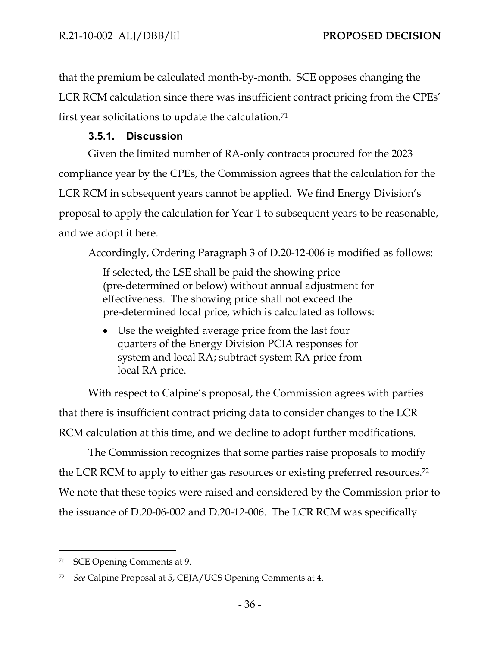that the premium be calculated month-by-month. SCE opposes changing the LCR RCM calculation since there was insufficient contract pricing from the CPEs' first year solicitations to update the calculation.71

## **3.5.1. Discussion**

Given the limited number of RA-only contracts procured for the 2023 compliance year by the CPEs, the Commission agrees that the calculation for the LCR RCM in subsequent years cannot be applied. We find Energy Division's proposal to apply the calculation for Year 1 to subsequent years to be reasonable, and we adopt it here.

Accordingly, Ordering Paragraph 3 of D.20-12-006 is modified as follows:

If selected, the LSE shall be paid the showing price (pre-determined or below) without annual adjustment for effectiveness. The showing price shall not exceed the pre-determined local price, which is calculated as follows:

 Use the weighted average price from the last four quarters of the Energy Division PCIA responses for system and local RA; subtract system RA price from local RA price.

With respect to Calpine's proposal, the Commission agrees with parties that there is insufficient contract pricing data to consider changes to the LCR RCM calculation at this time, and we decline to adopt further modifications.

The Commission recognizes that some parties raise proposals to modify the LCR RCM to apply to either gas resources or existing preferred resources.72 We note that these topics were raised and considered by the Commission prior to the issuance of D.20-06-002 and D.20-12-006. The LCR RCM was specifically

<sup>71</sup> SCE Opening Comments at 9.

<sup>72</sup> *See* Calpine Proposal at 5, CEJA/UCS Opening Comments at 4.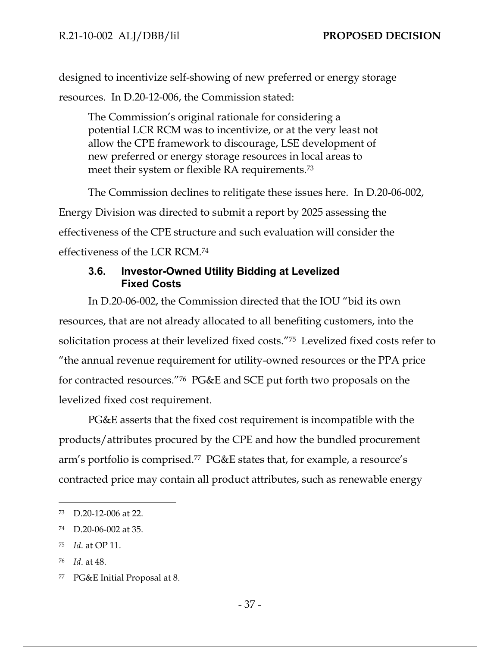designed to incentivize self-showing of new preferred or energy storage resources. In D.20-12-006, the Commission stated:

The Commission's original rationale for considering a potential LCR RCM was to incentivize, or at the very least not allow the CPE framework to discourage, LSE development of new preferred or energy storage resources in local areas to meet their system or flexible RA requirements.73

The Commission declines to relitigate these issues here. In D.20-06-002, Energy Division was directed to submit a report by 2025 assessing the effectiveness of the CPE structure and such evaluation will consider the effectiveness of the LCR RCM.74

# **3.6. Investor-Owned Utility Bidding at Levelized Fixed Costs**

In D.20-06-002, the Commission directed that the IOU "bid its own resources, that are not already allocated to all benefiting customers, into the solicitation process at their levelized fixed costs."75 Levelized fixed costs refer to "the annual revenue requirement for utility-owned resources or the PPA price for contracted resources."76 PG&E and SCE put forth two proposals on the levelized fixed cost requirement.

PG&E asserts that the fixed cost requirement is incompatible with the products/attributes procured by the CPE and how the bundled procurement arm's portfolio is comprised.77 PG&E states that, for example, a resource's contracted price may contain all product attributes, such as renewable energy

<sup>73</sup> D.20-12-006 at 22.

<sup>74</sup> D.20-06-002 at 35.

<sup>75</sup> *Id*. at OP 11.

<sup>76</sup> *Id*. at 48.

<sup>77</sup> PG&E Initial Proposal at 8.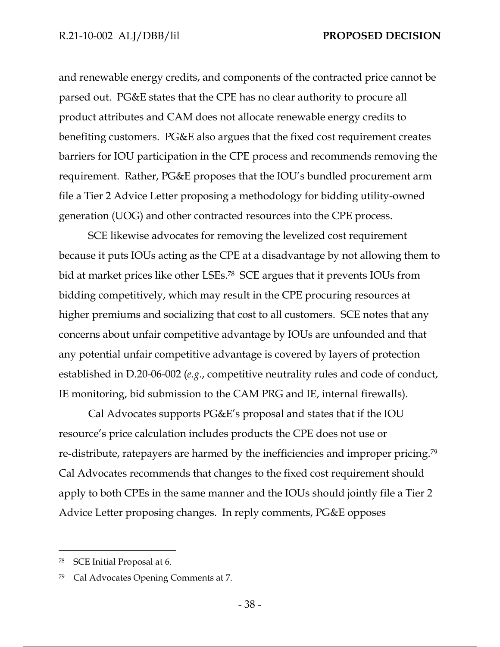and renewable energy credits, and components of the contracted price cannot be parsed out. PG&E states that the CPE has no clear authority to procure all product attributes and CAM does not allocate renewable energy credits to benefiting customers. PG&E also argues that the fixed cost requirement creates barriers for IOU participation in the CPE process and recommends removing the requirement. Rather, PG&E proposes that the IOU's bundled procurement arm file a Tier 2 Advice Letter proposing a methodology for bidding utility-owned generation (UOG) and other contracted resources into the CPE process.

SCE likewise advocates for removing the levelized cost requirement because it puts IOUs acting as the CPE at a disadvantage by not allowing them to bid at market prices like other LSEs.78 SCE argues that it prevents IOUs from bidding competitively, which may result in the CPE procuring resources at higher premiums and socializing that cost to all customers. SCE notes that any concerns about unfair competitive advantage by IOUs are unfounded and that any potential unfair competitive advantage is covered by layers of protection established in D.20-06-002 (*e.g.*, competitive neutrality rules and code of conduct, IE monitoring, bid submission to the CAM PRG and IE, internal firewalls).

Cal Advocates supports PG&E's proposal and states that if the IOU resource's price calculation includes products the CPE does not use or re-distribute, ratepayers are harmed by the inefficiencies and improper pricing.79 Cal Advocates recommends that changes to the fixed cost requirement should apply to both CPEs in the same manner and the IOUs should jointly file a Tier 2 Advice Letter proposing changes. In reply comments, PG&E opposes

<sup>78</sup> SCE Initial Proposal at 6.

<sup>79</sup> Cal Advocates Opening Comments at 7.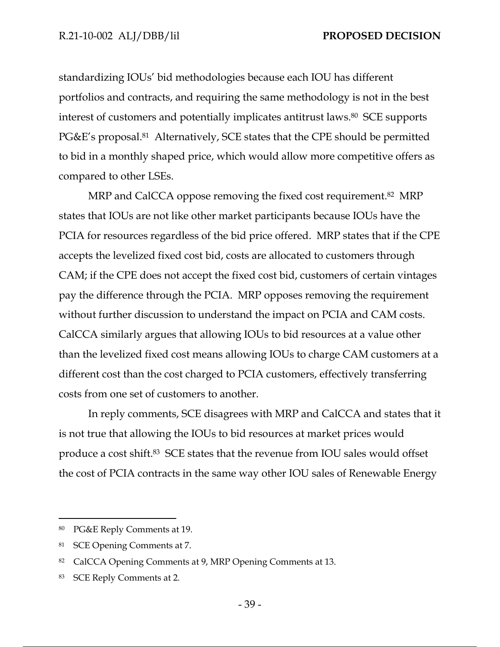standardizing IOUs' bid methodologies because each IOU has different portfolios and contracts, and requiring the same methodology is not in the best interest of customers and potentially implicates antitrust laws.80 SCE supports PG&E's proposal.81 Alternatively, SCE states that the CPE should be permitted to bid in a monthly shaped price, which would allow more competitive offers as compared to other LSEs.

MRP and CalCCA oppose removing the fixed cost requirement.<sup>82</sup> MRP states that IOUs are not like other market participants because IOUs have the PCIA for resources regardless of the bid price offered. MRP states that if the CPE accepts the levelized fixed cost bid, costs are allocated to customers through CAM; if the CPE does not accept the fixed cost bid, customers of certain vintages pay the difference through the PCIA. MRP opposes removing the requirement without further discussion to understand the impact on PCIA and CAM costs. CalCCA similarly argues that allowing IOUs to bid resources at a value other than the levelized fixed cost means allowing IOUs to charge CAM customers at a different cost than the cost charged to PCIA customers, effectively transferring costs from one set of customers to another.

In reply comments, SCE disagrees with MRP and CalCCA and states that it is not true that allowing the IOUs to bid resources at market prices would produce a cost shift.83 SCE states that the revenue from IOU sales would offset the cost of PCIA contracts in the same way other IOU sales of Renewable Energy

<sup>80</sup> PG&E Reply Comments at 19.

<sup>81</sup> SCE Opening Comments at 7.

<sup>82</sup> CalCCA Opening Comments at 9, MRP Opening Comments at 13.

<sup>83</sup> SCE Reply Comments at 2.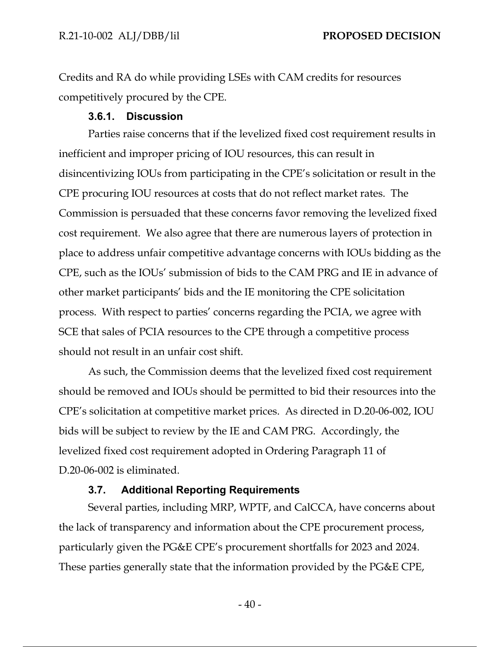Credits and RA do while providing LSEs with CAM credits for resources competitively procured by the CPE.

#### **3.6.1. Discussion**

Parties raise concerns that if the levelized fixed cost requirement results in inefficient and improper pricing of IOU resources, this can result in disincentivizing IOUs from participating in the CPE's solicitation or result in the CPE procuring IOU resources at costs that do not reflect market rates. The Commission is persuaded that these concerns favor removing the levelized fixed cost requirement. We also agree that there are numerous layers of protection in place to address unfair competitive advantage concerns with IOUs bidding as the CPE, such as the IOUs' submission of bids to the CAM PRG and IE in advance of other market participants' bids and the IE monitoring the CPE solicitation process. With respect to parties' concerns regarding the PCIA, we agree with SCE that sales of PCIA resources to the CPE through a competitive process should not result in an unfair cost shift.

As such, the Commission deems that the levelized fixed cost requirement should be removed and IOUs should be permitted to bid their resources into the CPE's solicitation at competitive market prices. As directed in D.20-06-002, IOU bids will be subject to review by the IE and CAM PRG. Accordingly, the levelized fixed cost requirement adopted in Ordering Paragraph 11 of D.20-06-002 is eliminated.

#### **3.7. Additional Reporting Requirements**

Several parties, including MRP, WPTF, and CalCCA, have concerns about the lack of transparency and information about the CPE procurement process, particularly given the PG&E CPE's procurement shortfalls for 2023 and 2024. These parties generally state that the information provided by the PG&E CPE,

 $-40-$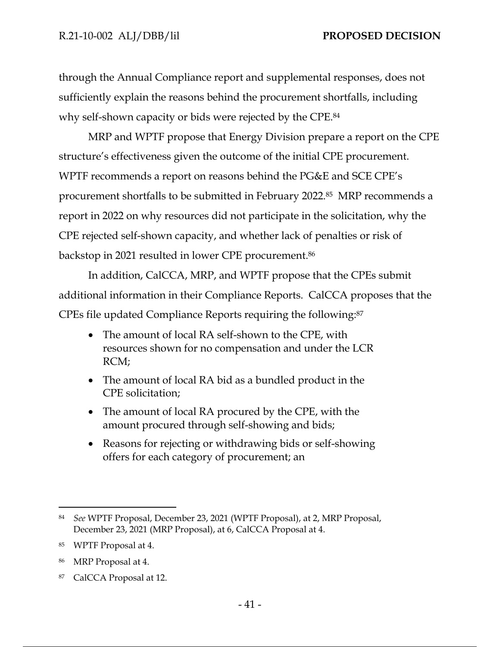through the Annual Compliance report and supplemental responses, does not sufficiently explain the reasons behind the procurement shortfalls, including why self-shown capacity or bids were rejected by the CPE.84

MRP and WPTF propose that Energy Division prepare a report on the CPE structure's effectiveness given the outcome of the initial CPE procurement. WPTF recommends a report on reasons behind the PG&E and SCE CPE's procurement shortfalls to be submitted in February 2022.85 MRP recommends a report in 2022 on why resources did not participate in the solicitation, why the CPE rejected self-shown capacity, and whether lack of penalties or risk of backstop in 2021 resulted in lower CPE procurement.86

In addition, CalCCA, MRP, and WPTF propose that the CPEs submit additional information in their Compliance Reports. CalCCA proposes that the CPEs file updated Compliance Reports requiring the following:87

- The amount of local RA self-shown to the CPE, with resources shown for no compensation and under the LCR RCM;
- The amount of local RA bid as a bundled product in the CPE solicitation;
- The amount of local RA procured by the CPE, with the amount procured through self-showing and bids;
- Reasons for rejecting or withdrawing bids or self-showing offers for each category of procurement; an

<sup>84</sup> *See* WPTF Proposal, December 23, 2021 (WPTF Proposal), at 2, MRP Proposal, December 23, 2021 (MRP Proposal), at 6, CalCCA Proposal at 4.

<sup>85</sup> WPTF Proposal at 4.

<sup>86</sup> MRP Proposal at 4.

<sup>87</sup> CalCCA Proposal at 12.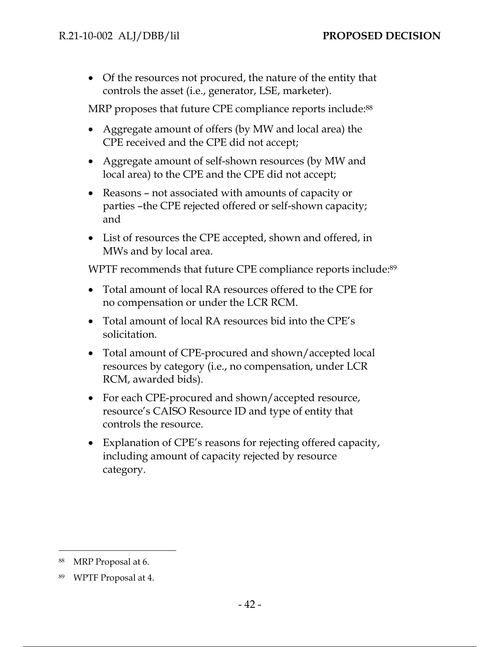Of the resources not procured, the nature of the entity that controls the asset (i.e., generator, LSE, marketer).

MRP proposes that future CPE compliance reports include:88

- Aggregate amount of offers (by MW and local area) the CPE received and the CPE did not accept;
- Aggregate amount of self-shown resources (by MW and local area) to the CPE and the CPE did not accept;
- Reasons not associated with amounts of capacity or parties –the CPE rejected offered or self-shown capacity; and
- List of resources the CPE accepted, shown and offered, in MWs and by local area.

WPTF recommends that future CPE compliance reports include:<sup>89</sup>

- Total amount of local RA resources offered to the CPE for no compensation or under the LCR RCM.
- Total amount of local RA resources bid into the CPE's solicitation.
- Total amount of CPE-procured and shown/accepted local resources by category (i.e., no compensation, under LCR RCM, awarded bids).
- For each CPE-procured and shown/accepted resource, resource's CAISO Resource ID and type of entity that controls the resource.
- Explanation of CPE's reasons for rejecting offered capacity, including amount of capacity rejected by resource category.

<sup>88</sup> MRP Proposal at 6.

<sup>89</sup> WPTF Proposal at 4.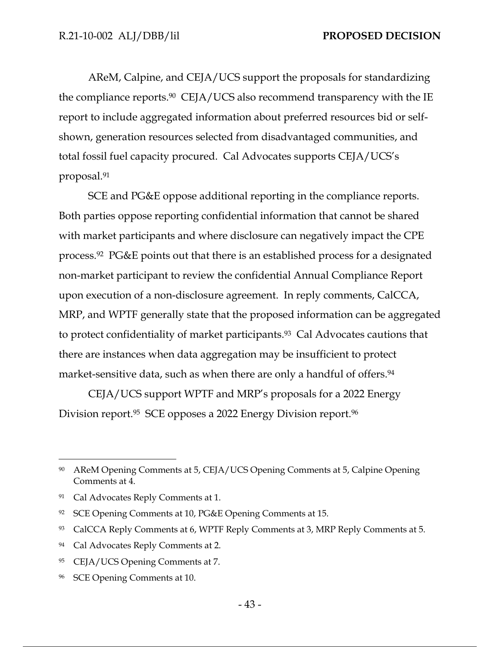AReM, Calpine, and CEJA/UCS support the proposals for standardizing the compliance reports.90 CEJA/UCS also recommend transparency with the IE report to include aggregated information about preferred resources bid or selfshown, generation resources selected from disadvantaged communities, and total fossil fuel capacity procured. Cal Advocates supports CEJA/UCS's proposal.91

SCE and PG&E oppose additional reporting in the compliance reports. Both parties oppose reporting confidential information that cannot be shared with market participants and where disclosure can negatively impact the CPE process.92 PG&E points out that there is an established process for a designated non-market participant to review the confidential Annual Compliance Report upon execution of a non-disclosure agreement. In reply comments, CalCCA, MRP, and WPTF generally state that the proposed information can be aggregated to protect confidentiality of market participants.93 Cal Advocates cautions that there are instances when data aggregation may be insufficient to protect market-sensitive data, such as when there are only a handful of offers.<sup>94</sup>

CEJA/UCS support WPTF and MRP's proposals for a 2022 Energy Division report.<sup>95</sup> SCE opposes a 2022 Energy Division report.<sup>96</sup>

<sup>90</sup> AReM Opening Comments at 5, CEJA/UCS Opening Comments at 5, Calpine Opening Comments at 4.

<sup>91</sup> Cal Advocates Reply Comments at 1.

<sup>92</sup> SCE Opening Comments at 10, PG&E Opening Comments at 15.

<sup>93</sup> CalCCA Reply Comments at 6, WPTF Reply Comments at 3, MRP Reply Comments at 5.

<sup>94</sup> Cal Advocates Reply Comments at 2.

<sup>95</sup> CEJA/UCS Opening Comments at 7.

<sup>96</sup> SCE Opening Comments at 10.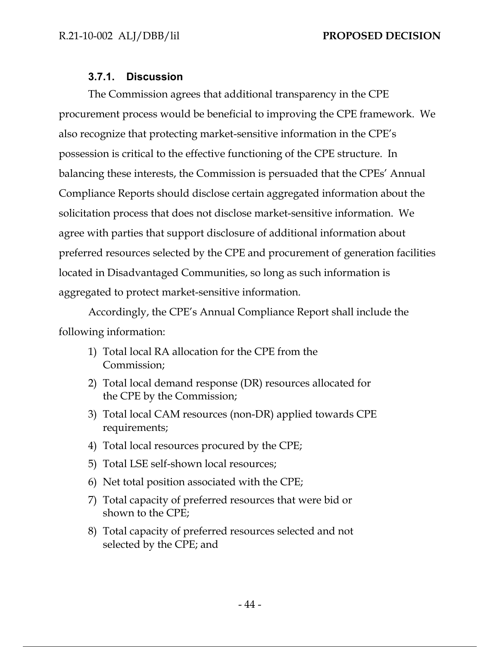# **3.7.1. Discussion**

The Commission agrees that additional transparency in the CPE procurement process would be beneficial to improving the CPE framework. We also recognize that protecting market-sensitive information in the CPE's possession is critical to the effective functioning of the CPE structure. In balancing these interests, the Commission is persuaded that the CPEs' Annual Compliance Reports should disclose certain aggregated information about the solicitation process that does not disclose market-sensitive information. We agree with parties that support disclosure of additional information about preferred resources selected by the CPE and procurement of generation facilities located in Disadvantaged Communities, so long as such information is aggregated to protect market-sensitive information.

Accordingly, the CPE's Annual Compliance Report shall include the following information:

- 1) Total local RA allocation for the CPE from the Commission;
- 2) Total local demand response (DR) resources allocated for the CPE by the Commission;
- 3) Total local CAM resources (non-DR) applied towards CPE requirements;
- 4) Total local resources procured by the CPE;
- 5) Total LSE self-shown local resources;
- 6) Net total position associated with the CPE;
- 7) Total capacity of preferred resources that were bid or shown to the CPE;
- 8) Total capacity of preferred resources selected and not selected by the CPE; and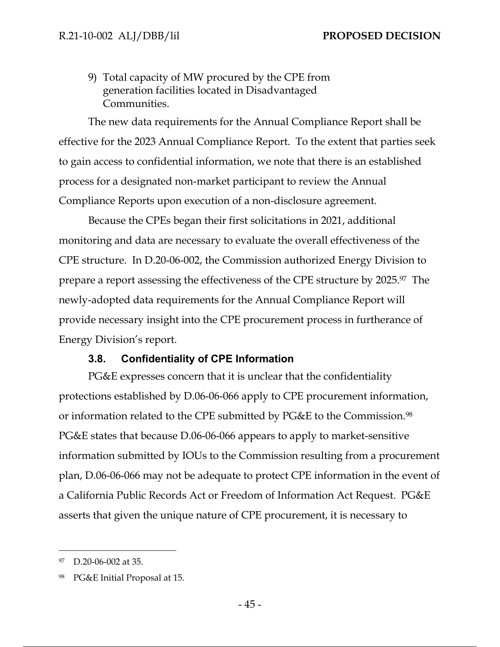9) Total capacity of MW procured by the CPE from generation facilities located in Disadvantaged Communities.

The new data requirements for the Annual Compliance Report shall be effective for the 2023 Annual Compliance Report. To the extent that parties seek to gain access to confidential information, we note that there is an established process for a designated non-market participant to review the Annual Compliance Reports upon execution of a non-disclosure agreement.

Because the CPEs began their first solicitations in 2021, additional monitoring and data are necessary to evaluate the overall effectiveness of the CPE structure. In D.20-06-002, the Commission authorized Energy Division to prepare a report assessing the effectiveness of the CPE structure by 2025.97 The newly-adopted data requirements for the Annual Compliance Report will provide necessary insight into the CPE procurement process in furtherance of Energy Division's report.

## **3.8. Confidentiality of CPE Information**

PG&E expresses concern that it is unclear that the confidentiality protections established by D.06-06-066 apply to CPE procurement information, or information related to the CPE submitted by PG&E to the Commission.98 PG&E states that because D.06-06-066 appears to apply to market-sensitive information submitted by IOUs to the Commission resulting from a procurement plan, D.06-06-066 may not be adequate to protect CPE information in the event of a California Public Records Act or Freedom of Information Act Request. PG&E asserts that given the unique nature of CPE procurement, it is necessary to

<sup>97</sup> D.20-06-002 at 35.

<sup>98</sup> PG&E Initial Proposal at 15.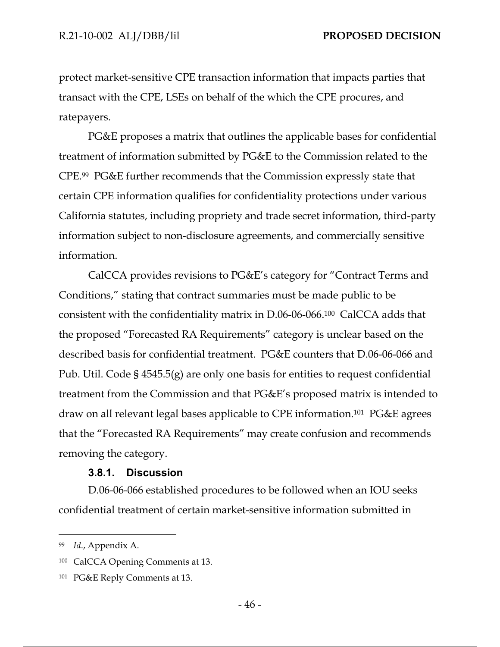protect market-sensitive CPE transaction information that impacts parties that transact with the CPE, LSEs on behalf of the which the CPE procures, and ratepayers.

PG&E proposes a matrix that outlines the applicable bases for confidential treatment of information submitted by PG&E to the Commission related to the CPE.99 PG&E further recommends that the Commission expressly state that certain CPE information qualifies for confidentiality protections under various California statutes, including propriety and trade secret information, third-party information subject to non-disclosure agreements, and commercially sensitive information.

CalCCA provides revisions to PG&E's category for "Contract Terms and Conditions," stating that contract summaries must be made public to be consistent with the confidentiality matrix in D.06-06-066.100 CalCCA adds that the proposed "Forecasted RA Requirements" category is unclear based on the described basis for confidential treatment. PG&E counters that D.06-06-066 and Pub. Util. Code § 4545.5(g) are only one basis for entities to request confidential treatment from the Commission and that PG&E's proposed matrix is intended to draw on all relevant legal bases applicable to CPE information.101 PG&E agrees that the "Forecasted RA Requirements" may create confusion and recommends removing the category.

### **3.8.1. Discussion**

D.06-06-066 established procedures to be followed when an IOU seeks confidential treatment of certain market-sensitive information submitted in

<sup>99</sup> *Id*., Appendix A.

<sup>100</sup> CalCCA Opening Comments at 13.

<sup>101</sup> PG&E Reply Comments at 13.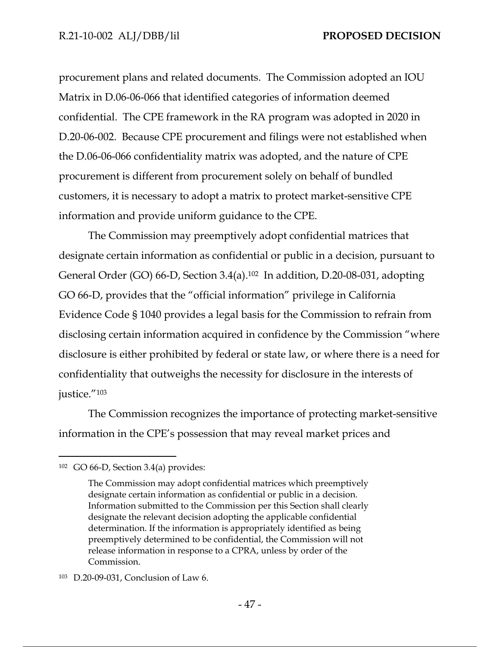procurement plans and related documents. The Commission adopted an IOU Matrix in D.06-06-066 that identified categories of information deemed confidential. The CPE framework in the RA program was adopted in 2020 in D.20-06-002. Because CPE procurement and filings were not established when the D.06-06-066 confidentiality matrix was adopted, and the nature of CPE procurement is different from procurement solely on behalf of bundled customers, it is necessary to adopt a matrix to protect market-sensitive CPE information and provide uniform guidance to the CPE.

The Commission may preemptively adopt confidential matrices that designate certain information as confidential or public in a decision, pursuant to General Order (GO) 66-D, Section 3.4(a).102 In addition, D.20-08-031, adopting GO 66-D, provides that the "official information" privilege in California Evidence Code § 1040 provides a legal basis for the Commission to refrain from disclosing certain information acquired in confidence by the Commission "where disclosure is either prohibited by federal or state law, or where there is a need for confidentiality that outweighs the necessity for disclosure in the interests of justice."103

The Commission recognizes the importance of protecting market-sensitive information in the CPE's possession that may reveal market prices and

<sup>102</sup> GO 66-D, Section 3.4(a) provides:

The Commission may adopt confidential matrices which preemptively designate certain information as confidential or public in a decision. Information submitted to the Commission per this Section shall clearly designate the relevant decision adopting the applicable confidential determination. If the information is appropriately identified as being preemptively determined to be confidential, the Commission will not release information in response to a CPRA, unless by order of the Commission.

<sup>103</sup> D.20-09-031, Conclusion of Law 6.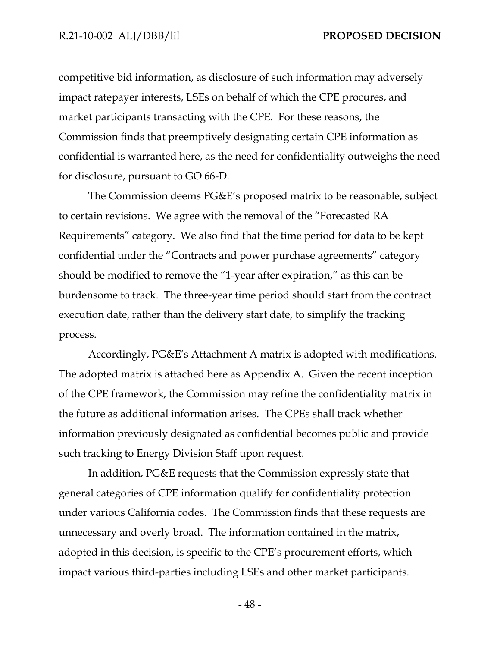competitive bid information, as disclosure of such information may adversely impact ratepayer interests, LSEs on behalf of which the CPE procures, and market participants transacting with the CPE. For these reasons, the Commission finds that preemptively designating certain CPE information as confidential is warranted here, as the need for confidentiality outweighs the need for disclosure, pursuant to GO 66-D.

The Commission deems PG&E's proposed matrix to be reasonable, subject to certain revisions. We agree with the removal of the "Forecasted RA Requirements" category. We also find that the time period for data to be kept confidential under the "Contracts and power purchase agreements" category should be modified to remove the "1-year after expiration," as this can be burdensome to track. The three-year time period should start from the contract execution date, rather than the delivery start date, to simplify the tracking process.

Accordingly, PG&E's Attachment A matrix is adopted with modifications. The adopted matrix is attached here as Appendix A. Given the recent inception of the CPE framework, the Commission may refine the confidentiality matrix in the future as additional information arises. The CPEs shall track whether information previously designated as confidential becomes public and provide such tracking to Energy Division Staff upon request.

In addition, PG&E requests that the Commission expressly state that general categories of CPE information qualify for confidentiality protection under various California codes. The Commission finds that these requests are unnecessary and overly broad. The information contained in the matrix, adopted in this decision, is specific to the CPE's procurement efforts, which impact various third-parties including LSEs and other market participants.

- 48 -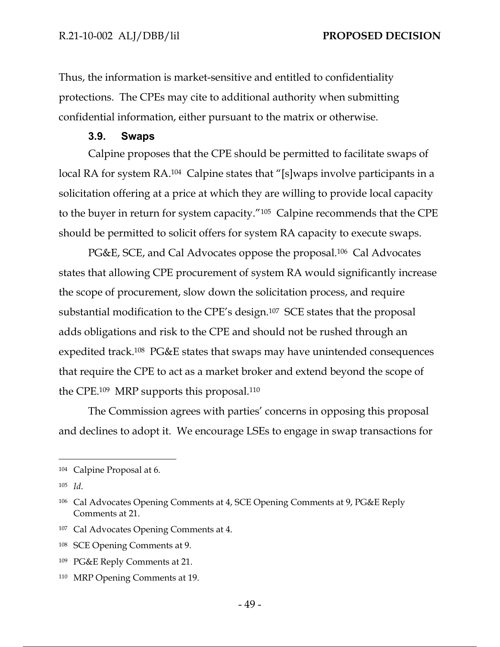Thus, the information is market-sensitive and entitled to confidentiality protections. The CPEs may cite to additional authority when submitting confidential information, either pursuant to the matrix or otherwise.

#### **3.9. Swaps**

Calpine proposes that the CPE should be permitted to facilitate swaps of local RA for system RA.<sup>104</sup> Calpine states that "[s]waps involve participants in a solicitation offering at a price at which they are willing to provide local capacity to the buyer in return for system capacity."105 Calpine recommends that the CPE should be permitted to solicit offers for system RA capacity to execute swaps.

PG&E, SCE, and Cal Advocates oppose the proposal.<sup>106</sup> Cal Advocates states that allowing CPE procurement of system RA would significantly increase the scope of procurement, slow down the solicitation process, and require substantial modification to the CPE's design.107 SCE states that the proposal adds obligations and risk to the CPE and should not be rushed through an expedited track.108 PG&E states that swaps may have unintended consequences that require the CPE to act as a market broker and extend beyond the scope of the CPE.109 MRP supports this proposal.110

The Commission agrees with parties' concerns in opposing this proposal and declines to adopt it. We encourage LSEs to engage in swap transactions for

107 Cal Advocates Opening Comments at 4.

110 MRP Opening Comments at 19.

<sup>104</sup> Calpine Proposal at 6.

<sup>105</sup> *Id*.

<sup>106</sup> Cal Advocates Opening Comments at 4, SCE Opening Comments at 9, PG&E Reply Comments at 21.

<sup>108</sup> SCE Opening Comments at 9.

<sup>109</sup> PG&E Reply Comments at 21.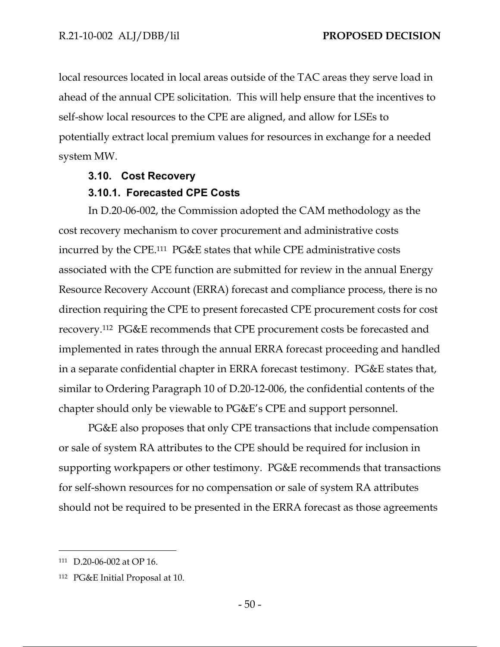local resources located in local areas outside of the TAC areas they serve load in ahead of the annual CPE solicitation. This will help ensure that the incentives to self-show local resources to the CPE are aligned, and allow for LSEs to potentially extract local premium values for resources in exchange for a needed system MW.

### **3.10. Cost Recovery**

### **3.10.1. Forecasted CPE Costs**

In D.20-06-002, the Commission adopted the CAM methodology as the cost recovery mechanism to cover procurement and administrative costs incurred by the CPE.111 PG&E states that while CPE administrative costs associated with the CPE function are submitted for review in the annual Energy Resource Recovery Account (ERRA) forecast and compliance process, there is no direction requiring the CPE to present forecasted CPE procurement costs for cost recovery.112 PG&E recommends that CPE procurement costs be forecasted and implemented in rates through the annual ERRA forecast proceeding and handled in a separate confidential chapter in ERRA forecast testimony. PG&E states that, similar to Ordering Paragraph 10 of D.20-12-006, the confidential contents of the chapter should only be viewable to PG&E's CPE and support personnel.

PG&E also proposes that only CPE transactions that include compensation or sale of system RA attributes to the CPE should be required for inclusion in supporting workpapers or other testimony. PG&E recommends that transactions for self-shown resources for no compensation or sale of system RA attributes should not be required to be presented in the ERRA forecast as those agreements

<sup>111</sup> D.20-06-002 at OP 16.

<sup>112</sup> PG&E Initial Proposal at 10.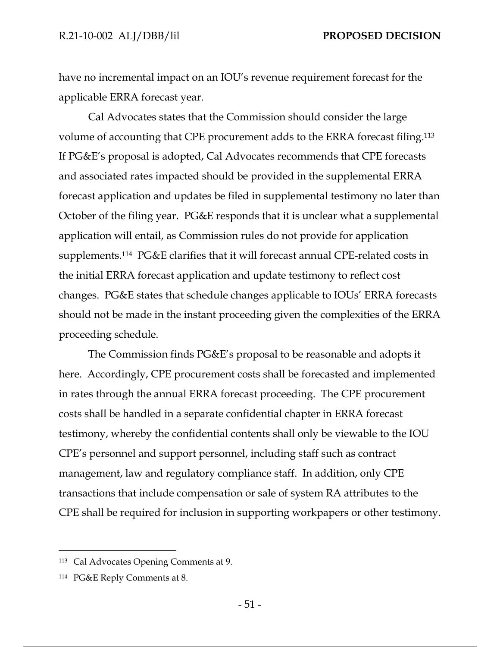have no incremental impact on an IOU's revenue requirement forecast for the applicable ERRA forecast year.

Cal Advocates states that the Commission should consider the large volume of accounting that CPE procurement adds to the ERRA forecast filing.113 If PG&E's proposal is adopted, Cal Advocates recommends that CPE forecasts and associated rates impacted should be provided in the supplemental ERRA forecast application and updates be filed in supplemental testimony no later than October of the filing year. PG&E responds that it is unclear what a supplemental application will entail, as Commission rules do not provide for application supplements.114 PG&E clarifies that it will forecast annual CPE-related costs in the initial ERRA forecast application and update testimony to reflect cost changes. PG&E states that schedule changes applicable to IOUs' ERRA forecasts should not be made in the instant proceeding given the complexities of the ERRA proceeding schedule.

The Commission finds PG&E's proposal to be reasonable and adopts it here. Accordingly, CPE procurement costs shall be forecasted and implemented in rates through the annual ERRA forecast proceeding. The CPE procurement costs shall be handled in a separate confidential chapter in ERRA forecast testimony, whereby the confidential contents shall only be viewable to the IOU CPE's personnel and support personnel, including staff such as contract management, law and regulatory compliance staff. In addition, only CPE transactions that include compensation or sale of system RA attributes to the CPE shall be required for inclusion in supporting workpapers or other testimony.

<sup>113</sup> Cal Advocates Opening Comments at 9.

<sup>114</sup> PG&E Reply Comments at 8.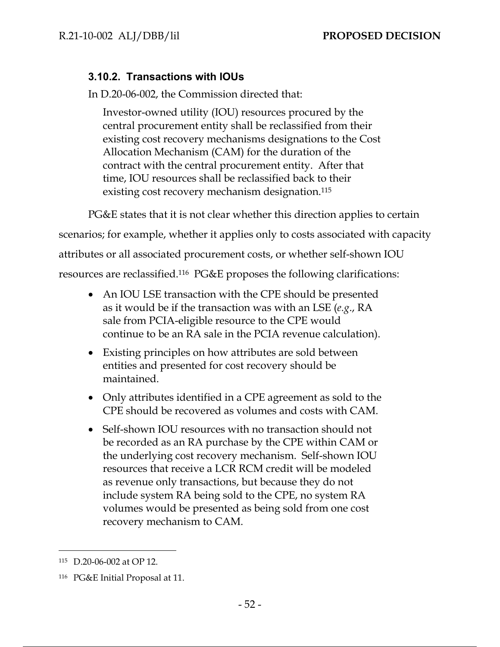# **3.10.2. Transactions with IOUs**

In D.20-06-002, the Commission directed that:

Investor-owned utility (IOU) resources procured by the central procurement entity shall be reclassified from their existing cost recovery mechanisms designations to the Cost Allocation Mechanism (CAM) for the duration of the contract with the central procurement entity. After that time, IOU resources shall be reclassified back to their existing cost recovery mechanism designation.115

PG&E states that it is not clear whether this direction applies to certain

scenarios; for example, whether it applies only to costs associated with capacity

attributes or all associated procurement costs, or whether self-shown IOU

resources are reclassified.116 PG&E proposes the following clarifications:

- An IOU LSE transaction with the CPE should be presented as it would be if the transaction was with an LSE (*e.g*., RA sale from PCIA-eligible resource to the CPE would continue to be an RA sale in the PCIA revenue calculation).
- Existing principles on how attributes are sold between entities and presented for cost recovery should be maintained.
- Only attributes identified in a CPE agreement as sold to the CPE should be recovered as volumes and costs with CAM.
- Self-shown IOU resources with no transaction should not be recorded as an RA purchase by the CPE within CAM or the underlying cost recovery mechanism. Self-shown IOU resources that receive a LCR RCM credit will be modeled as revenue only transactions, but because they do not include system RA being sold to the CPE, no system RA volumes would be presented as being sold from one cost recovery mechanism to CAM.

<sup>115</sup> D.20-06-002 at OP 12.

<sup>116</sup> PG&E Initial Proposal at 11.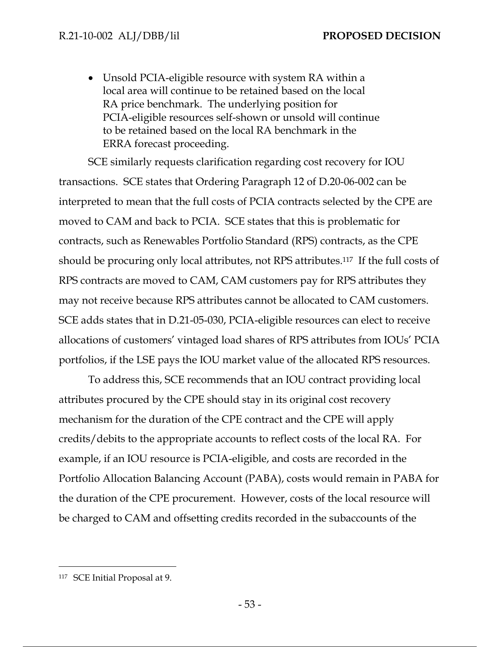Unsold PCIA-eligible resource with system RA within a local area will continue to be retained based on the local RA price benchmark. The underlying position for PCIA-eligible resources self-shown or unsold will continue to be retained based on the local RA benchmark in the ERRA forecast proceeding.

SCE similarly requests clarification regarding cost recovery for IOU transactions. SCE states that Ordering Paragraph 12 of D.20-06-002 can be interpreted to mean that the full costs of PCIA contracts selected by the CPE are moved to CAM and back to PCIA. SCE states that this is problematic for contracts, such as Renewables Portfolio Standard (RPS) contracts, as the CPE should be procuring only local attributes, not RPS attributes.117 If the full costs of RPS contracts are moved to CAM, CAM customers pay for RPS attributes they may not receive because RPS attributes cannot be allocated to CAM customers. SCE adds states that in D.21-05-030, PCIA-eligible resources can elect to receive allocations of customers' vintaged load shares of RPS attributes from IOUs' PCIA portfolios, if the LSE pays the IOU market value of the allocated RPS resources.

To address this, SCE recommends that an IOU contract providing local attributes procured by the CPE should stay in its original cost recovery mechanism for the duration of the CPE contract and the CPE will apply credits/debits to the appropriate accounts to reflect costs of the local RA. For example, if an IOU resource is PCIA-eligible, and costs are recorded in the Portfolio Allocation Balancing Account (PABA), costs would remain in PABA for the duration of the CPE procurement. However, costs of the local resource will be charged to CAM and offsetting credits recorded in the subaccounts of the

<sup>117</sup> SCE Initial Proposal at 9.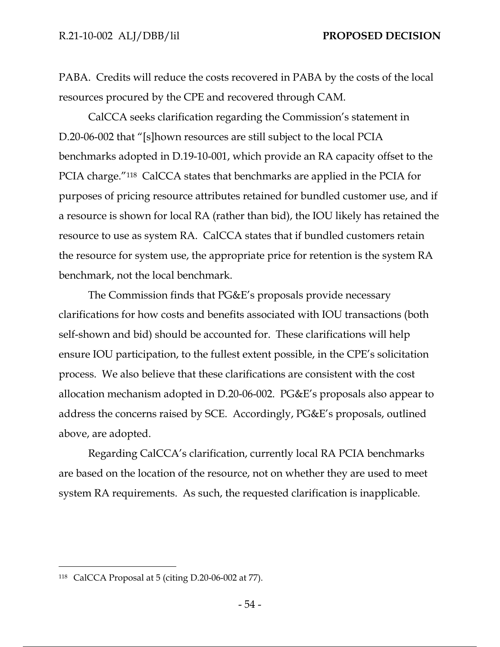PABA. Credits will reduce the costs recovered in PABA by the costs of the local resources procured by the CPE and recovered through CAM.

CalCCA seeks clarification regarding the Commission's statement in D.20-06-002 that "[s]hown resources are still subject to the local PCIA benchmarks adopted in D.19-10-001, which provide an RA capacity offset to the PCIA charge."118 CalCCA states that benchmarks are applied in the PCIA for purposes of pricing resource attributes retained for bundled customer use, and if a resource is shown for local RA (rather than bid), the IOU likely has retained the resource to use as system RA. CalCCA states that if bundled customers retain the resource for system use, the appropriate price for retention is the system RA benchmark, not the local benchmark.

The Commission finds that PG&E's proposals provide necessary clarifications for how costs and benefits associated with IOU transactions (both self-shown and bid) should be accounted for. These clarifications will help ensure IOU participation, to the fullest extent possible, in the CPE's solicitation process. We also believe that these clarifications are consistent with the cost allocation mechanism adopted in D.20-06-002. PG&E's proposals also appear to address the concerns raised by SCE. Accordingly, PG&E's proposals, outlined above, are adopted.

Regarding CalCCA's clarification, currently local RA PCIA benchmarks are based on the location of the resource, not on whether they are used to meet system RA requirements. As such, the requested clarification is inapplicable.

<sup>118</sup> CalCCA Proposal at 5 (citing D.20-06-002 at 77).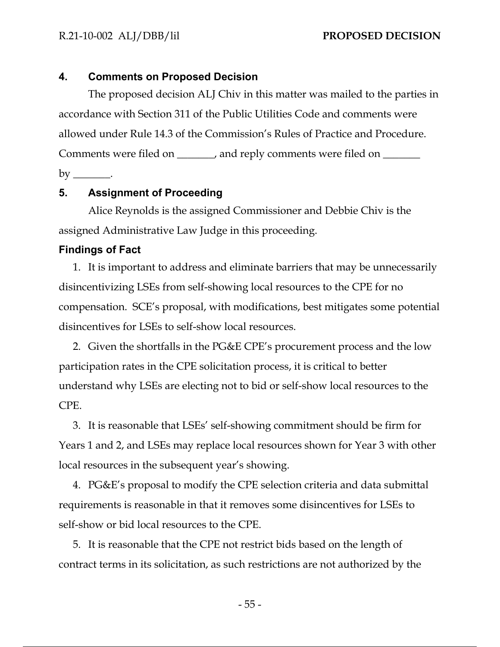R.21-10-002 ALJ/DBB/lil **PROPOSED DECISION** 

#### **4. Comments on Proposed Decision**

The proposed decision ALJ Chiv in this matter was mailed to the parties in accordance with Section 311 of the Public Utilities Code and comments were allowed under Rule 14.3 of the Commission's Rules of Practice and Procedure. Comments were filed on \_\_\_\_\_\_, and reply comments were filed on \_\_\_\_\_\_ by \_\_\_\_\_\_\_.

# **5. Assignment of Proceeding**

Alice Reynolds is the assigned Commissioner and Debbie Chiv is the assigned Administrative Law Judge in this proceeding.

#### **Findings of Fact**

1. It is important to address and eliminate barriers that may be unnecessarily disincentivizing LSEs from self-showing local resources to the CPE for no compensation. SCE's proposal, with modifications, best mitigates some potential disincentives for LSEs to self-show local resources.

2. Given the shortfalls in the PG&E CPE's procurement process and the low participation rates in the CPE solicitation process, it is critical to better understand why LSEs are electing not to bid or self-show local resources to the CPE.

3. It is reasonable that LSEs' self-showing commitment should be firm for Years 1 and 2, and LSEs may replace local resources shown for Year 3 with other local resources in the subsequent year's showing.

4. PG&E's proposal to modify the CPE selection criteria and data submittal requirements is reasonable in that it removes some disincentives for LSEs to self-show or bid local resources to the CPE.

5. It is reasonable that the CPE not restrict bids based on the length of contract terms in its solicitation, as such restrictions are not authorized by the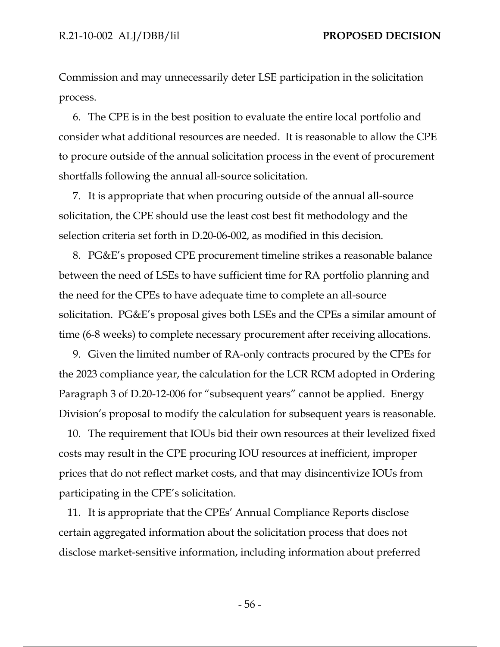Commission and may unnecessarily deter LSE participation in the solicitation process.

6. The CPE is in the best position to evaluate the entire local portfolio and consider what additional resources are needed. It is reasonable to allow the CPE to procure outside of the annual solicitation process in the event of procurement shortfalls following the annual all-source solicitation.

7. It is appropriate that when procuring outside of the annual all-source solicitation, the CPE should use the least cost best fit methodology and the selection criteria set forth in D.20-06-002, as modified in this decision.

8. PG&E's proposed CPE procurement timeline strikes a reasonable balance between the need of LSEs to have sufficient time for RA portfolio planning and the need for the CPEs to have adequate time to complete an all-source solicitation. PG&E's proposal gives both LSEs and the CPEs a similar amount of time (6-8 weeks) to complete necessary procurement after receiving allocations.

9. Given the limited number of RA-only contracts procured by the CPEs for the 2023 compliance year, the calculation for the LCR RCM adopted in Ordering Paragraph 3 of D.20-12-006 for "subsequent years" cannot be applied. Energy Division's proposal to modify the calculation for subsequent years is reasonable.

10. The requirement that IOUs bid their own resources at their levelized fixed costs may result in the CPE procuring IOU resources at inefficient, improper prices that do not reflect market costs, and that may disincentivize IOUs from participating in the CPE's solicitation.

11. It is appropriate that the CPEs' Annual Compliance Reports disclose certain aggregated information about the solicitation process that does not disclose market-sensitive information, including information about preferred

- 56 -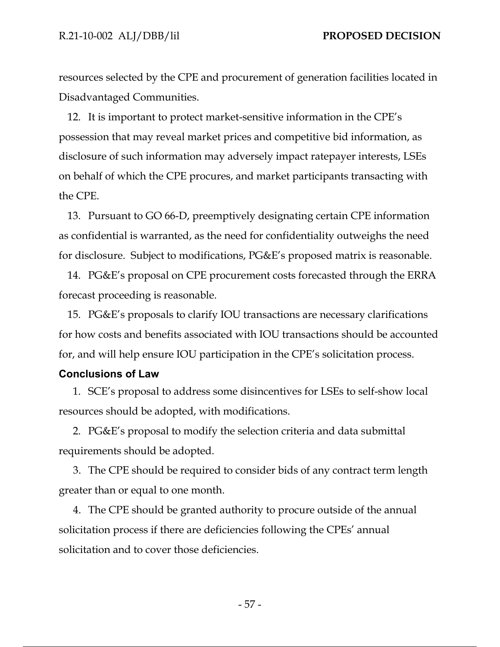resources selected by the CPE and procurement of generation facilities located in Disadvantaged Communities.

12. It is important to protect market-sensitive information in the CPE's possession that may reveal market prices and competitive bid information, as disclosure of such information may adversely impact ratepayer interests, LSEs on behalf of which the CPE procures, and market participants transacting with the CPE.

13. Pursuant to GO 66-D, preemptively designating certain CPE information as confidential is warranted, as the need for confidentiality outweighs the need for disclosure. Subject to modifications, PG&E's proposed matrix is reasonable.

14. PG&E's proposal on CPE procurement costs forecasted through the ERRA forecast proceeding is reasonable.

15. PG&E's proposals to clarify IOU transactions are necessary clarifications for how costs and benefits associated with IOU transactions should be accounted for, and will help ensure IOU participation in the CPE's solicitation process.

### **Conclusions of Law**

1. SCE's proposal to address some disincentives for LSEs to self-show local resources should be adopted, with modifications.

2. PG&E's proposal to modify the selection criteria and data submittal requirements should be adopted.

3. The CPE should be required to consider bids of any contract term length greater than or equal to one month.

4. The CPE should be granted authority to procure outside of the annual solicitation process if there are deficiencies following the CPEs' annual solicitation and to cover those deficiencies.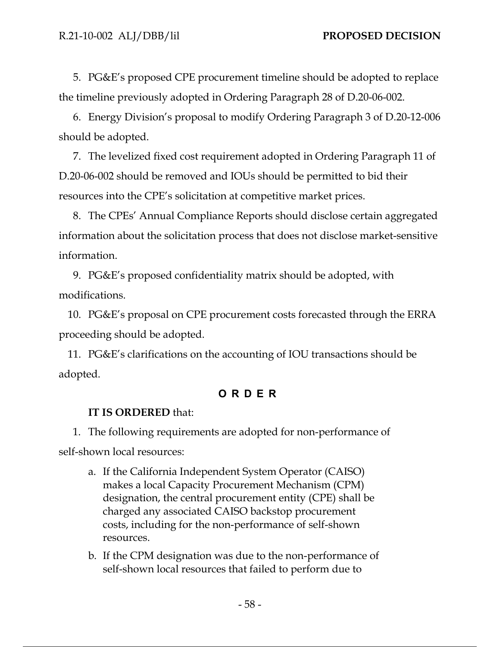5. PG&E's proposed CPE procurement timeline should be adopted to replace the timeline previously adopted in Ordering Paragraph 28 of D.20-06-002.

6. Energy Division's proposal to modify Ordering Paragraph 3 of D.20-12-006 should be adopted.

7. The levelized fixed cost requirement adopted in Ordering Paragraph 11 of D.20-06-002 should be removed and IOUs should be permitted to bid their resources into the CPE's solicitation at competitive market prices.

8. The CPEs' Annual Compliance Reports should disclose certain aggregated information about the solicitation process that does not disclose market-sensitive information.

9. PG&E's proposed confidentiality matrix should be adopted, with modifications.

10. PG&E's proposal on CPE procurement costs forecasted through the ERRA proceeding should be adopted.

11. PG&E's clarifications on the accounting of IOU transactions should be adopted.

# **ORDER**

# **IT IS ORDERED** that:

1. The following requirements are adopted for non-performance of self-shown local resources:

- a. If the California Independent System Operator (CAISO) makes a local Capacity Procurement Mechanism (CPM) designation, the central procurement entity (CPE) shall be charged any associated CAISO backstop procurement costs, including for the non-performance of self-shown resources.
- b. If the CPM designation was due to the non-performance of self-shown local resources that failed to perform due to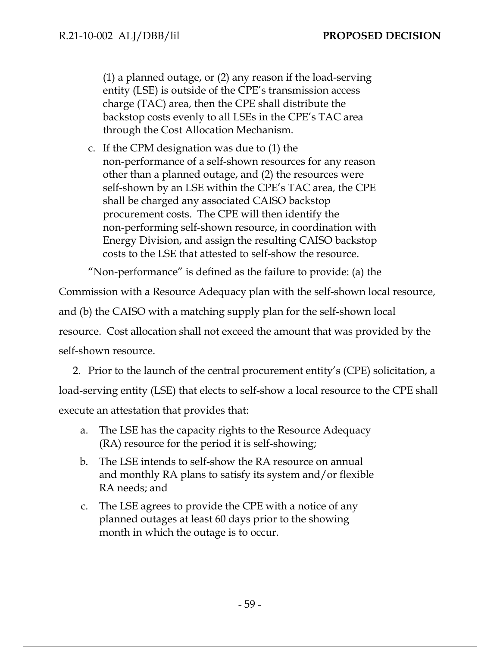(1) a planned outage, or (2) any reason if the load-serving entity (LSE) is outside of the CPE's transmission access charge (TAC) area, then the CPE shall distribute the backstop costs evenly to all LSEs in the CPE's TAC area through the Cost Allocation Mechanism.

c. If the CPM designation was due to (1) the non-performance of a self-shown resources for any reason other than a planned outage, and (2) the resources were self-shown by an LSE within the CPE's TAC area, the CPE shall be charged any associated CAISO backstop procurement costs. The CPE will then identify the non-performing self-shown resource, in coordination with Energy Division, and assign the resulting CAISO backstop costs to the LSE that attested to self-show the resource.

"Non-performance" is defined as the failure to provide: (a) the

Commission with a Resource Adequacy plan with the self-shown local resource,

and (b) the CAISO with a matching supply plan for the self-shown local

resource. Cost allocation shall not exceed the amount that was provided by the

self-shown resource.

2. Prior to the launch of the central procurement entity's (CPE) solicitation, a load-serving entity (LSE) that elects to self-show a local resource to the CPE shall execute an attestation that provides that:

- a. The LSE has the capacity rights to the Resource Adequacy (RA) resource for the period it is self-showing;
- b. The LSE intends to self-show the RA resource on annual and monthly RA plans to satisfy its system and/or flexible RA needs; and
- c. The LSE agrees to provide the CPE with a notice of any planned outages at least 60 days prior to the showing month in which the outage is to occur.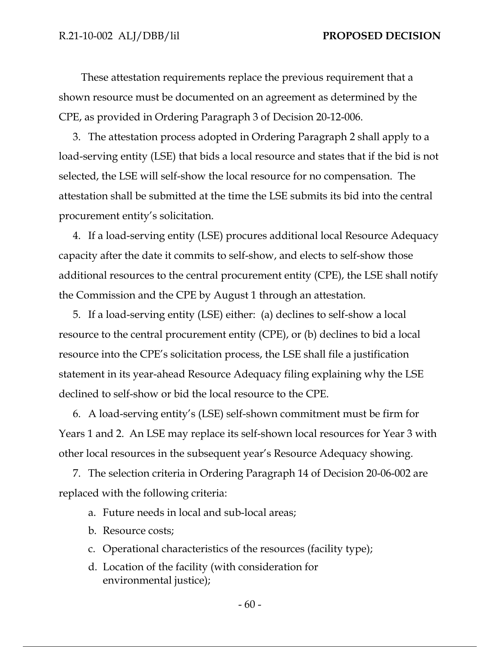These attestation requirements replace the previous requirement that a shown resource must be documented on an agreement as determined by the CPE, as provided in Ordering Paragraph 3 of Decision 20-12-006.

3. The attestation process adopted in Ordering Paragraph 2 shall apply to a load-serving entity (LSE) that bids a local resource and states that if the bid is not selected, the LSE will self-show the local resource for no compensation. The attestation shall be submitted at the time the LSE submits its bid into the central procurement entity's solicitation.

4. If a load-serving entity (LSE) procures additional local Resource Adequacy capacity after the date it commits to self-show, and elects to self-show those additional resources to the central procurement entity (CPE), the LSE shall notify the Commission and the CPE by August 1 through an attestation.

5. If a load-serving entity (LSE) either: (a) declines to self-show a local resource to the central procurement entity (CPE), or (b) declines to bid a local resource into the CPE's solicitation process, the LSE shall file a justification statement in its year-ahead Resource Adequacy filing explaining why the LSE declined to self-show or bid the local resource to the CPE.

6. A load-serving entity's (LSE) self-shown commitment must be firm for Years 1 and 2. An LSE may replace its self-shown local resources for Year 3 with other local resources in the subsequent year's Resource Adequacy showing.

7. The selection criteria in Ordering Paragraph 14 of Decision 20-06-002 are replaced with the following criteria:

- a. Future needs in local and sub-local areas;
- b. Resource costs;
- c. Operational characteristics of the resources (facility type);
- d. Location of the facility (with consideration for environmental justice);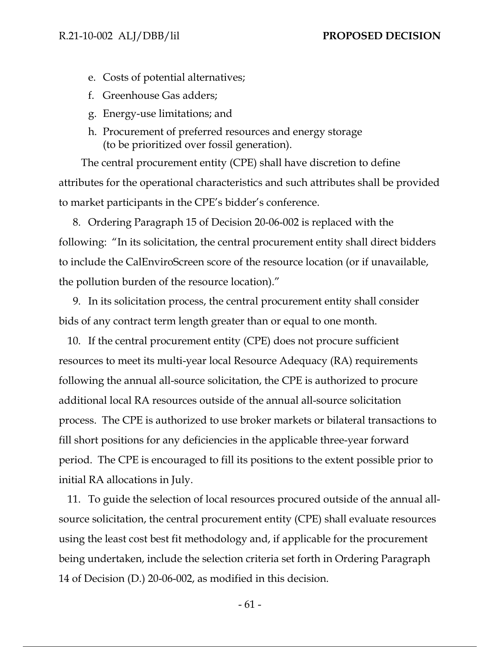- e. Costs of potential alternatives;
- f. Greenhouse Gas adders;
- g. Energy-use limitations; and
- h. Procurement of preferred resources and energy storage (to be prioritized over fossil generation).

The central procurement entity (CPE) shall have discretion to define attributes for the operational characteristics and such attributes shall be provided to market participants in the CPE's bidder's conference.

8. Ordering Paragraph 15 of Decision 20-06-002 is replaced with the following: "In its solicitation, the central procurement entity shall direct bidders to include the CalEnviroScreen score of the resource location (or if unavailable, the pollution burden of the resource location)."

9. In its solicitation process, the central procurement entity shall consider bids of any contract term length greater than or equal to one month.

10. If the central procurement entity (CPE) does not procure sufficient resources to meet its multi-year local Resource Adequacy (RA) requirements following the annual all-source solicitation, the CPE is authorized to procure additional local RA resources outside of the annual all-source solicitation process. The CPE is authorized to use broker markets or bilateral transactions to fill short positions for any deficiencies in the applicable three-year forward period. The CPE is encouraged to fill its positions to the extent possible prior to initial RA allocations in July.

11. To guide the selection of local resources procured outside of the annual allsource solicitation, the central procurement entity (CPE) shall evaluate resources using the least cost best fit methodology and, if applicable for the procurement being undertaken, include the selection criteria set forth in Ordering Paragraph 14 of Decision (D.) 20-06-002, as modified in this decision.

- 61 -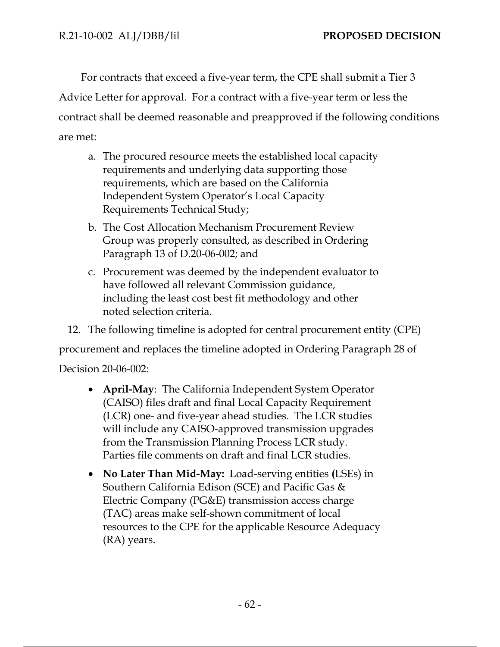For contracts that exceed a five-year term, the CPE shall submit a Tier 3 Advice Letter for approval. For a contract with a five-year term or less the contract shall be deemed reasonable and preapproved if the following conditions are met:

- a. The procured resource meets the established local capacity requirements and underlying data supporting those requirements, which are based on the California Independent System Operator's Local Capacity Requirements Technical Study;
- b. The Cost Allocation Mechanism Procurement Review Group was properly consulted, as described in Ordering Paragraph 13 of D.20-06-002; and
- c. Procurement was deemed by the independent evaluator to have followed all relevant Commission guidance, including the least cost best fit methodology and other noted selection criteria.

12. The following timeline is adopted for central procurement entity (CPE) procurement and replaces the timeline adopted in Ordering Paragraph 28 of

Decision 20-06-002:

- **April-May**: The California Independent System Operator (CAISO) files draft and final Local Capacity Requirement (LCR) one- and five-year ahead studies. The LCR studies will include any CAISO-approved transmission upgrades from the Transmission Planning Process LCR study. Parties file comments on draft and final LCR studies.
- **No Later Than Mid-May:** Load-serving entities **(**LSEs) in Southern California Edison (SCE) and Pacific Gas & Electric Company (PG&E) transmission access charge (TAC) areas make self-shown commitment of local resources to the CPE for the applicable Resource Adequacy (RA) years.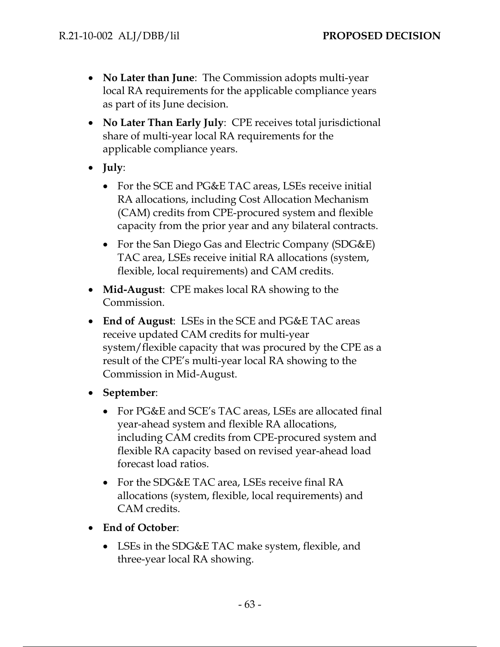- **No Later than June**: The Commission adopts multi-year local RA requirements for the applicable compliance years as part of its June decision.
- **No Later Than Early July**: CPE receives total jurisdictional share of multi-year local RA requirements for the applicable compliance years.
- **July**:
	- For the SCE and PG&E TAC areas, LSEs receive initial RA allocations, including Cost Allocation Mechanism (CAM) credits from CPE-procured system and flexible capacity from the prior year and any bilateral contracts.
	- For the San Diego Gas and Electric Company (SDG&E) TAC area, LSEs receive initial RA allocations (system, flexible, local requirements) and CAM credits.
- **Mid-August**: CPE makes local RA showing to the Commission.
- **End of August**: LSEs in the SCE and PG&E TAC areas receive updated CAM credits for multi-year system/flexible capacity that was procured by the CPE as a result of the CPE's multi-year local RA showing to the Commission in Mid-August.
- **September**:
	- For PG&E and SCE's TAC areas, LSEs are allocated final year-ahead system and flexible RA allocations, including CAM credits from CPE-procured system and flexible RA capacity based on revised year-ahead load forecast load ratios.
	- For the SDG&E TAC area, LSEs receive final RA allocations (system, flexible, local requirements) and CAM credits.
- **End of October**:
	- LSEs in the SDG&E TAC make system, flexible, and three-year local RA showing.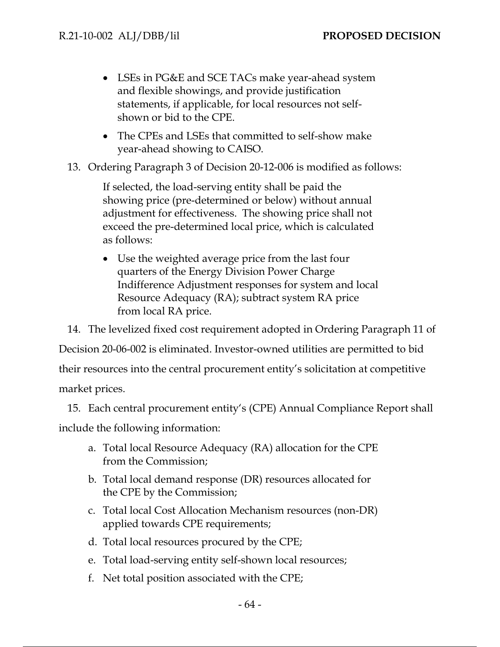- LSEs in PG&E and SCE TACs make year-ahead system and flexible showings, and provide justification statements, if applicable, for local resources not selfshown or bid to the CPE.
- The CPEs and LSEs that committed to self-show make year-ahead showing to CAISO.
- 13. Ordering Paragraph 3 of Decision 20-12-006 is modified as follows:

If selected, the load-serving entity shall be paid the showing price (pre-determined or below) without annual adjustment for effectiveness. The showing price shall not exceed the pre-determined local price, which is calculated as follows:

 Use the weighted average price from the last four quarters of the Energy Division Power Charge Indifference Adjustment responses for system and local Resource Adequacy (RA); subtract system RA price from local RA price.

14. The levelized fixed cost requirement adopted in Ordering Paragraph 11 of Decision 20-06-002 is eliminated. Investor-owned utilities are permitted to bid their resources into the central procurement entity's solicitation at competitive market prices.

15. Each central procurement entity's (CPE) Annual Compliance Report shall include the following information:

- a. Total local Resource Adequacy (RA) allocation for the CPE from the Commission;
- b. Total local demand response (DR) resources allocated for the CPE by the Commission;
- c. Total local Cost Allocation Mechanism resources (non-DR) applied towards CPE requirements;
- d. Total local resources procured by the CPE;
- e. Total load-serving entity self-shown local resources;
- f. Net total position associated with the CPE;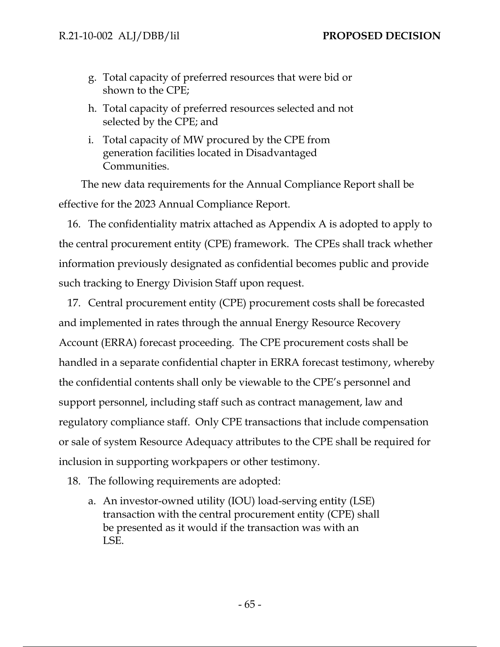- g. Total capacity of preferred resources that were bid or shown to the CPE;
- h. Total capacity of preferred resources selected and not selected by the CPE; and
- i. Total capacity of MW procured by the CPE from generation facilities located in Disadvantaged Communities.

The new data requirements for the Annual Compliance Report shall be effective for the 2023 Annual Compliance Report.

16. The confidentiality matrix attached as Appendix A is adopted to apply to the central procurement entity (CPE) framework. The CPEs shall track whether information previously designated as confidential becomes public and provide such tracking to Energy Division Staff upon request.

17. Central procurement entity (CPE) procurement costs shall be forecasted and implemented in rates through the annual Energy Resource Recovery Account (ERRA) forecast proceeding. The CPE procurement costs shall be handled in a separate confidential chapter in ERRA forecast testimony, whereby the confidential contents shall only be viewable to the CPE's personnel and support personnel, including staff such as contract management, law and regulatory compliance staff. Only CPE transactions that include compensation or sale of system Resource Adequacy attributes to the CPE shall be required for inclusion in supporting workpapers or other testimony.

18. The following requirements are adopted:

a. An investor-owned utility (IOU) load-serving entity (LSE) transaction with the central procurement entity (CPE) shall be presented as it would if the transaction was with an LSE.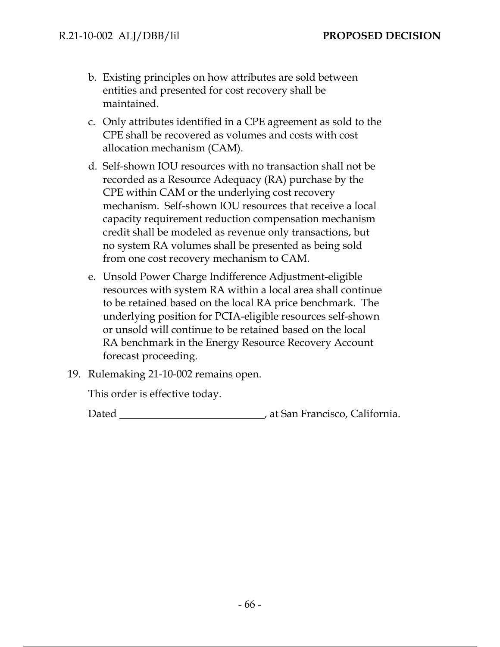- b. Existing principles on how attributes are sold between entities and presented for cost recovery shall be maintained.
- c. Only attributes identified in a CPE agreement as sold to the CPE shall be recovered as volumes and costs with cost allocation mechanism (CAM).
- d. Self-shown IOU resources with no transaction shall not be recorded as a Resource Adequacy (RA) purchase by the CPE within CAM or the underlying cost recovery mechanism. Self-shown IOU resources that receive a local capacity requirement reduction compensation mechanism credit shall be modeled as revenue only transactions, but no system RA volumes shall be presented as being sold from one cost recovery mechanism to CAM.
- e. Unsold Power Charge Indifference Adjustment-eligible resources with system RA within a local area shall continue to be retained based on the local RA price benchmark. The underlying position for PCIA-eligible resources self-shown or unsold will continue to be retained based on the local RA benchmark in the Energy Resource Recovery Account forecast proceeding.
- 19. Rulemaking 21-10-002 remains open.

This order is effective today.

Dated , at San Francisco, California.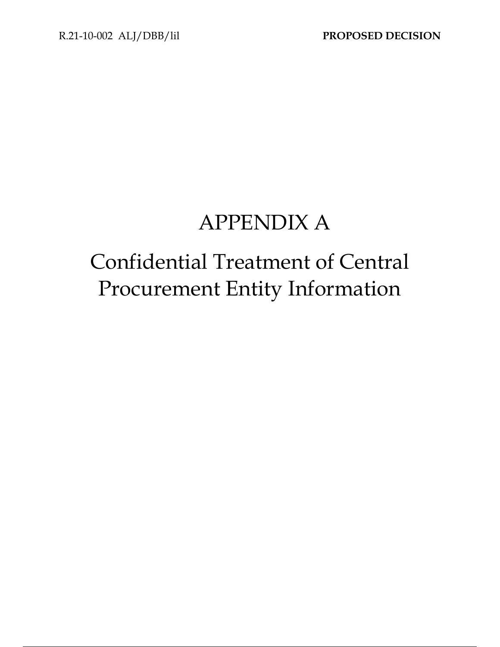# APPENDIX A

# Confidential Treatment of Central Procurement Entity Information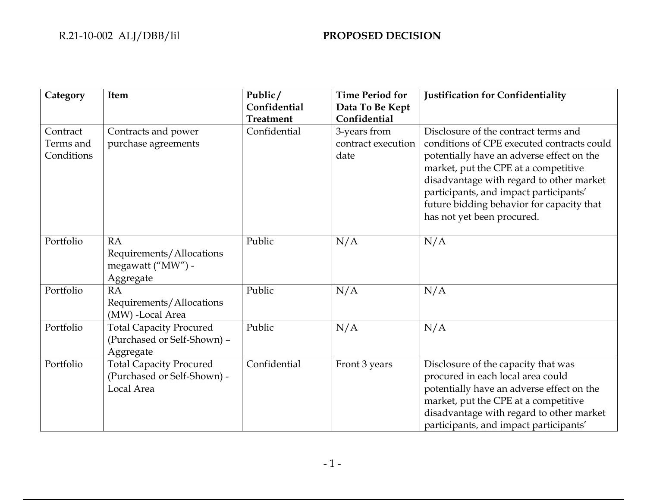| Category                            | Item                                                                        | Public/          | <b>Time Period for</b>                     | Justification for Confidentiality                                                                                                                                                                                                                                                                                                        |
|-------------------------------------|-----------------------------------------------------------------------------|------------------|--------------------------------------------|------------------------------------------------------------------------------------------------------------------------------------------------------------------------------------------------------------------------------------------------------------------------------------------------------------------------------------------|
|                                     |                                                                             | Confidential     | Data To Be Kept                            |                                                                                                                                                                                                                                                                                                                                          |
|                                     |                                                                             | <b>Treatment</b> | Confidential                               |                                                                                                                                                                                                                                                                                                                                          |
| Contract<br>Terms and<br>Conditions | Contracts and power<br>purchase agreements                                  | Confidential     | 3-years from<br>contract execution<br>date | Disclosure of the contract terms and<br>conditions of CPE executed contracts could<br>potentially have an adverse effect on the<br>market, put the CPE at a competitive<br>disadvantage with regard to other market<br>participants, and impact participants'<br>future bidding behavior for capacity that<br>has not yet been procured. |
| Portfolio                           | <b>RA</b><br>Requirements/Allocations<br>megawatt ("MW") -<br>Aggregate     | Public           | N/A                                        | N/A                                                                                                                                                                                                                                                                                                                                      |
| Portfolio                           | <b>RA</b><br>Requirements/Allocations<br>(MW) -Local Area                   | Public           | N/A                                        | N/A                                                                                                                                                                                                                                                                                                                                      |
| Portfolio                           | <b>Total Capacity Procured</b><br>(Purchased or Self-Shown) -<br>Aggregate  | Public           | N/A                                        | N/A                                                                                                                                                                                                                                                                                                                                      |
| Portfolio                           | <b>Total Capacity Procured</b><br>(Purchased or Self-Shown) -<br>Local Area | Confidential     | Front 3 years                              | Disclosure of the capacity that was<br>procured in each local area could<br>potentially have an adverse effect on the<br>market, put the CPE at a competitive<br>disadvantage with regard to other market<br>participants, and impact participants'                                                                                      |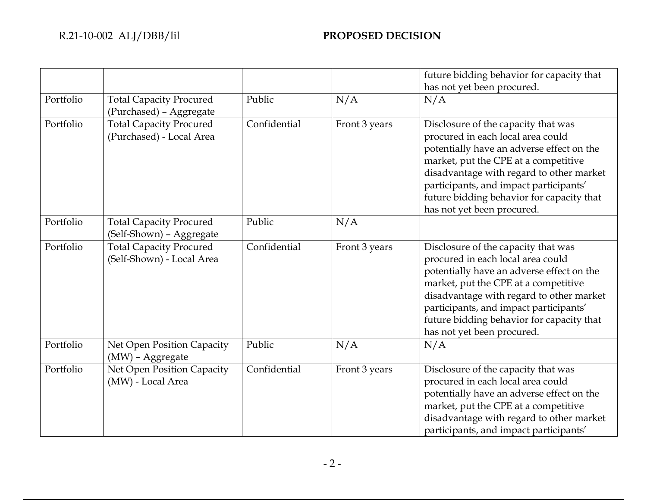|           |                                                             |              |               | future bidding behavior for capacity that                                                                                                                                                                                                                                                                                      |
|-----------|-------------------------------------------------------------|--------------|---------------|--------------------------------------------------------------------------------------------------------------------------------------------------------------------------------------------------------------------------------------------------------------------------------------------------------------------------------|
|           |                                                             |              |               | has not yet been procured.                                                                                                                                                                                                                                                                                                     |
| Portfolio | <b>Total Capacity Procured</b><br>(Purchased) - Aggregate   | Public       | N/A           | N/A                                                                                                                                                                                                                                                                                                                            |
| Portfolio | <b>Total Capacity Procured</b><br>(Purchased) - Local Area  | Confidential | Front 3 years | Disclosure of the capacity that was<br>procured in each local area could<br>potentially have an adverse effect on the<br>market, put the CPE at a competitive<br>disadvantage with regard to other market<br>participants, and impact participants'<br>future bidding behavior for capacity that<br>has not yet been procured. |
| Portfolio | <b>Total Capacity Procured</b><br>(Self-Shown) - Aggregate  | Public       | N/A           |                                                                                                                                                                                                                                                                                                                                |
| Portfolio | <b>Total Capacity Procured</b><br>(Self-Shown) - Local Area | Confidential | Front 3 years | Disclosure of the capacity that was<br>procured in each local area could<br>potentially have an adverse effect on the<br>market, put the CPE at a competitive<br>disadvantage with regard to other market<br>participants, and impact participants'<br>future bidding behavior for capacity that<br>has not yet been procured. |
| Portfolio | Net Open Position Capacity<br>(MW) - Aggregate              | Public       | N/A           | N/A                                                                                                                                                                                                                                                                                                                            |
| Portfolio | Net Open Position Capacity<br>(MW) - Local Area             | Confidential | Front 3 years | Disclosure of the capacity that was<br>procured in each local area could<br>potentially have an adverse effect on the<br>market, put the CPE at a competitive<br>disadvantage with regard to other market<br>participants, and impact participants'                                                                            |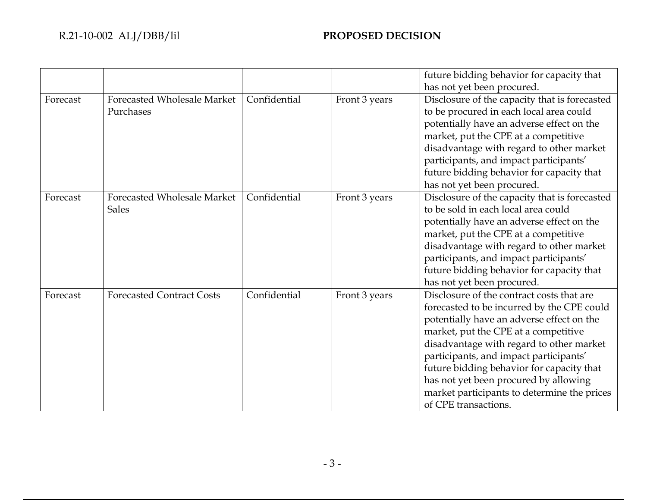## R.21-10-002 ALJ/DBB/lil **PROPOSED DECISION**

|          |                                                    |              |               | future bidding behavior for capacity that<br>has not yet been procured.                                                                                                                                                                                                                                                                                                                                                         |
|----------|----------------------------------------------------|--------------|---------------|---------------------------------------------------------------------------------------------------------------------------------------------------------------------------------------------------------------------------------------------------------------------------------------------------------------------------------------------------------------------------------------------------------------------------------|
| Forecast | <b>Forecasted Wholesale Market</b><br>Purchases    | Confidential | Front 3 years | Disclosure of the capacity that is forecasted<br>to be procured in each local area could<br>potentially have an adverse effect on the<br>market, put the CPE at a competitive<br>disadvantage with regard to other market<br>participants, and impact participants'<br>future bidding behavior for capacity that<br>has not yet been procured.                                                                                  |
| Forecast | <b>Forecasted Wholesale Market</b><br><b>Sales</b> | Confidential | Front 3 years | Disclosure of the capacity that is forecasted<br>to be sold in each local area could<br>potentially have an adverse effect on the<br>market, put the CPE at a competitive<br>disadvantage with regard to other market<br>participants, and impact participants'<br>future bidding behavior for capacity that<br>has not yet been procured.                                                                                      |
| Forecast | <b>Forecasted Contract Costs</b>                   | Confidential | Front 3 years | Disclosure of the contract costs that are<br>forecasted to be incurred by the CPE could<br>potentially have an adverse effect on the<br>market, put the CPE at a competitive<br>disadvantage with regard to other market<br>participants, and impact participants'<br>future bidding behavior for capacity that<br>has not yet been procured by allowing<br>market participants to determine the prices<br>of CPE transactions. |